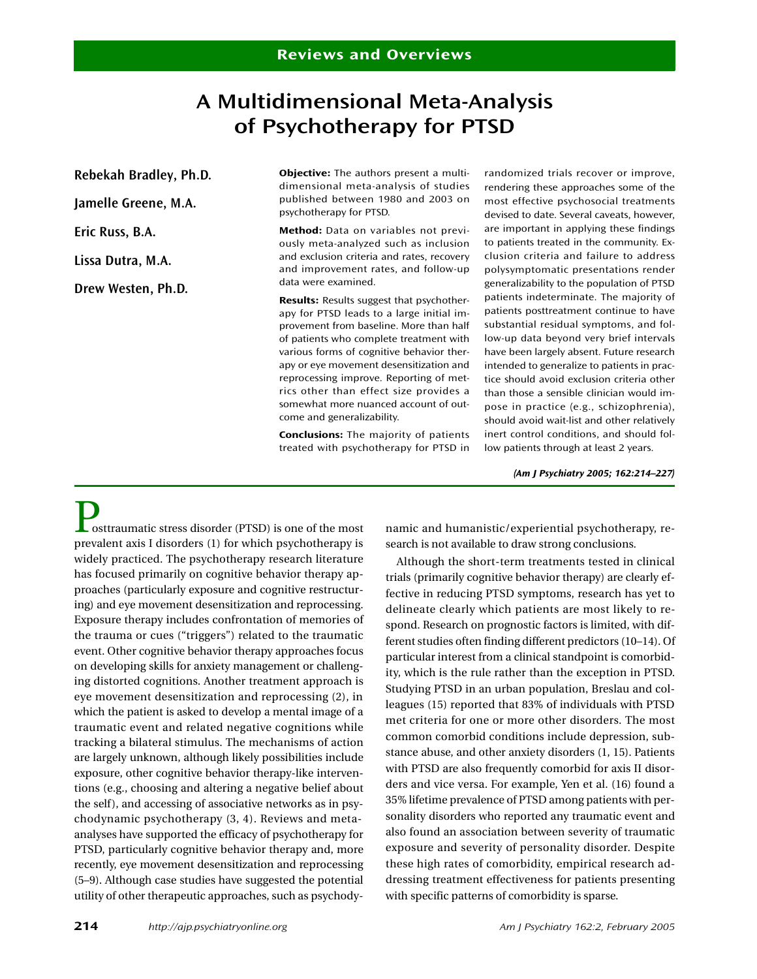# **A Multidimensional Meta-Analysis of Psychotherapy for PTSD**

**Rebekah Bradley, Ph.D.**

**Jamelle Greene, M.A.**

**Eric Russ, B.A.**

**Lissa Dutra, M.A.**

**Drew Westen, Ph.D.**

**Objective:** The authors present a multidimensional meta-analysis of studies published between 1980 and 2003 on psychotherapy for PTSD.

**Method:** Data on variables not previously meta-analyzed such as inclusion and exclusion criteria and rates, recovery and improvement rates, and follow-up data were examined.

**Results:** Results suggest that psychotherapy for PTSD leads to a large initial improvement from baseline. More than half of patients who complete treatment with various forms of cognitive behavior therapy or eye movement desensitization and reprocessing improve. Reporting of metrics other than effect size provides a somewhat more nuanced account of outcome and generalizability.

**Conclusions:** The majority of patients treated with psychotherapy for PTSD in

randomized trials recover or improve, rendering these approaches some of the most effective psychosocial treatments devised to date. Several caveats, however, are important in applying these findings to patients treated in the community. Exclusion criteria and failure to address polysymptomatic presentations render generalizability to the population of PTSD patients indeterminate. The majority of patients posttreatment continue to have substantial residual symptoms, and follow-up data beyond very brief intervals have been largely absent. Future research intended to generalize to patients in practice should avoid exclusion criteria other than those a sensible clinician would impose in practice (e.g., schizophrenia), should avoid wait-list and other relatively inert control conditions, and should follow patients through at least 2 years.

*(Am J Psychiatry 2005; 162:214–227)*

 $\blacksquare$  osttraumatic stress disorder (PTSD) is one of the most prevalent axis I disorders (1) for which psychotherapy is widely practiced. The psychotherapy research literature has focused primarily on cognitive behavior therapy approaches (particularly exposure and cognitive restructuring) and eye movement desensitization and reprocessing. Exposure therapy includes confrontation of memories of the trauma or cues ("triggers") related to the traumatic event. Other cognitive behavior therapy approaches focus on developing skills for anxiety management or challenging distorted cognitions. Another treatment approach is eye movement desensitization and reprocessing (2), in which the patient is asked to develop a mental image of a traumatic event and related negative cognitions while tracking a bilateral stimulus. The mechanisms of action are largely unknown, although likely possibilities include exposure, other cognitive behavior therapy-like interventions (e.g., choosing and altering a negative belief about the self), and accessing of associative networks as in psychodynamic psychotherapy (3, 4). Reviews and metaanalyses have supported the efficacy of psychotherapy for PTSD, particularly cognitive behavior therapy and, more recently, eye movement desensitization and reprocessing (5–9). Although case studies have suggested the potential utility of other therapeutic approaches, such as psychody-

namic and humanistic/experiential psychotherapy, research is not available to draw strong conclusions.

Although the short-term treatments tested in clinical trials (primarily cognitive behavior therapy) are clearly effective in reducing PTSD symptoms, research has yet to delineate clearly which patients are most likely to respond. Research on prognostic factors is limited, with different studies often finding different predictors (10–14). Of particular interest from a clinical standpoint is comorbidity, which is the rule rather than the exception in PTSD. Studying PTSD in an urban population, Breslau and colleagues (15) reported that 83% of individuals with PTSD met criteria for one or more other disorders. The most common comorbid conditions include depression, substance abuse, and other anxiety disorders (1, 15). Patients with PTSD are also frequently comorbid for axis II disorders and vice versa. For example, Yen et al. (16) found a 35% lifetime prevalence of PTSD among patients with personality disorders who reported any traumatic event and also found an association between severity of traumatic exposure and severity of personality disorder. Despite these high rates of comorbidity, empirical research addressing treatment effectiveness for patients presenting with specific patterns of comorbidity is sparse.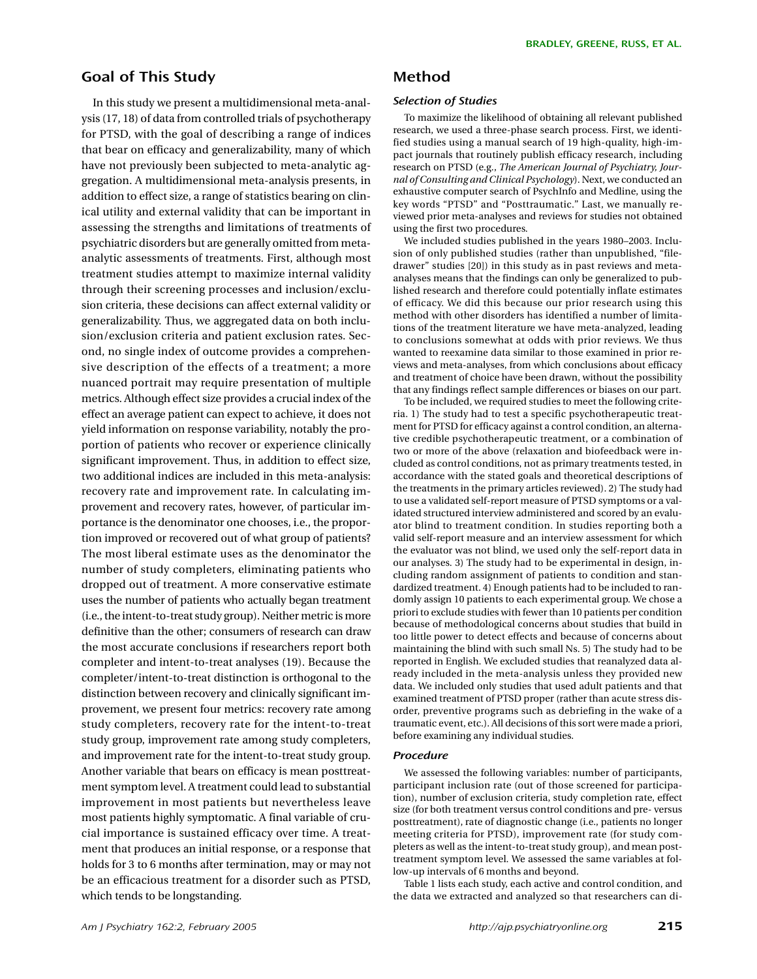# **Goal of This Study**

In this study we present a multidimensional meta-analysis (17, 18) of data from controlled trials of psychotherapy for PTSD, with the goal of describing a range of indices that bear on efficacy and generalizability, many of which have not previously been subjected to meta-analytic aggregation. A multidimensional meta-analysis presents, in addition to effect size, a range of statistics bearing on clinical utility and external validity that can be important in assessing the strengths and limitations of treatments of psychiatric disorders but are generally omitted from metaanalytic assessments of treatments. First, although most treatment studies attempt to maximize internal validity through their screening processes and inclusion/exclusion criteria, these decisions can affect external validity or generalizability. Thus, we aggregated data on both inclusion/exclusion criteria and patient exclusion rates. Second, no single index of outcome provides a comprehensive description of the effects of a treatment; a more nuanced portrait may require presentation of multiple metrics. Although effect size provides a crucial index of the effect an average patient can expect to achieve, it does not yield information on response variability, notably the proportion of patients who recover or experience clinically significant improvement. Thus, in addition to effect size, two additional indices are included in this meta-analysis: recovery rate and improvement rate. In calculating improvement and recovery rates, however, of particular importance is the denominator one chooses, i.e., the proportion improved or recovered out of what group of patients? The most liberal estimate uses as the denominator the number of study completers, eliminating patients who dropped out of treatment. A more conservative estimate uses the number of patients who actually began treatment (i.e., the intent-to-treat study group). Neither metric is more definitive than the other; consumers of research can draw the most accurate conclusions if researchers report both completer and intent-to-treat analyses (19). Because the completer/intent-to-treat distinction is orthogonal to the distinction between recovery and clinically significant improvement, we present four metrics: recovery rate among study completers, recovery rate for the intent-to-treat study group, improvement rate among study completers, and improvement rate for the intent-to-treat study group. Another variable that bears on efficacy is mean posttreatment symptom level. A treatment could lead to substantial improvement in most patients but nevertheless leave most patients highly symptomatic. A final variable of crucial importance is sustained efficacy over time. A treatment that produces an initial response, or a response that holds for 3 to 6 months after termination, may or may not be an efficacious treatment for a disorder such as PTSD, which tends to be longstanding.

# **Method**

#### *Selection of Studies*

To maximize the likelihood of obtaining all relevant published research, we used a three-phase search process. First, we identified studies using a manual search of 19 high-quality, high-impact journals that routinely publish efficacy research, including research on PTSD (e.g., *The American Journal of Psychiatry, Journal of Consulting and Clinical Psychology*). Next, we conducted an exhaustive computer search of PsychInfo and Medline, using the key words "PTSD" and "Posttraumatic." Last, we manually reviewed prior meta-analyses and reviews for studies not obtained using the first two procedures.

We included studies published in the years 1980–2003. Inclusion of only published studies (rather than unpublished, "filedrawer" studies [20]) in this study as in past reviews and metaanalyses means that the findings can only be generalized to published research and therefore could potentially inflate estimates of efficacy. We did this because our prior research using this method with other disorders has identified a number of limitations of the treatment literature we have meta-analyzed, leading to conclusions somewhat at odds with prior reviews. We thus wanted to reexamine data similar to those examined in prior reviews and meta-analyses, from which conclusions about efficacy and treatment of choice have been drawn, without the possibility that any findings reflect sample differences or biases on our part.

To be included, we required studies to meet the following criteria. 1) The study had to test a specific psychotherapeutic treatment for PTSD for efficacy against a control condition, an alternative credible psychotherapeutic treatment, or a combination of two or more of the above (relaxation and biofeedback were included as control conditions, not as primary treatments tested, in accordance with the stated goals and theoretical descriptions of the treatments in the primary articles reviewed). 2) The study had to use a validated self-report measure of PTSD symptoms or a validated structured interview administered and scored by an evaluator blind to treatment condition. In studies reporting both a valid self-report measure and an interview assessment for which the evaluator was not blind, we used only the self-report data in our analyses. 3) The study had to be experimental in design, including random assignment of patients to condition and standardized treatment. 4) Enough patients had to be included to randomly assign 10 patients to each experimental group. We chose a priori to exclude studies with fewer than 10 patients per condition because of methodological concerns about studies that build in too little power to detect effects and because of concerns about maintaining the blind with such small Ns. 5) The study had to be reported in English. We excluded studies that reanalyzed data already included in the meta-analysis unless they provided new data. We included only studies that used adult patients and that examined treatment of PTSD proper (rather than acute stress disorder, preventive programs such as debriefing in the wake of a traumatic event, etc.). All decisions of this sort were made a priori, before examining any individual studies.

#### *Procedure*

We assessed the following variables: number of participants, participant inclusion rate (out of those screened for participation), number of exclusion criteria, study completion rate, effect size (for both treatment versus control conditions and pre- versus posttreatment), rate of diagnostic change (i.e., patients no longer meeting criteria for PTSD), improvement rate (for study completers as well as the intent-to-treat study group), and mean posttreatment symptom level. We assessed the same variables at follow-up intervals of 6 months and beyond.

Table 1 lists each study, each active and control condition, and the data we extracted and analyzed so that researchers can di-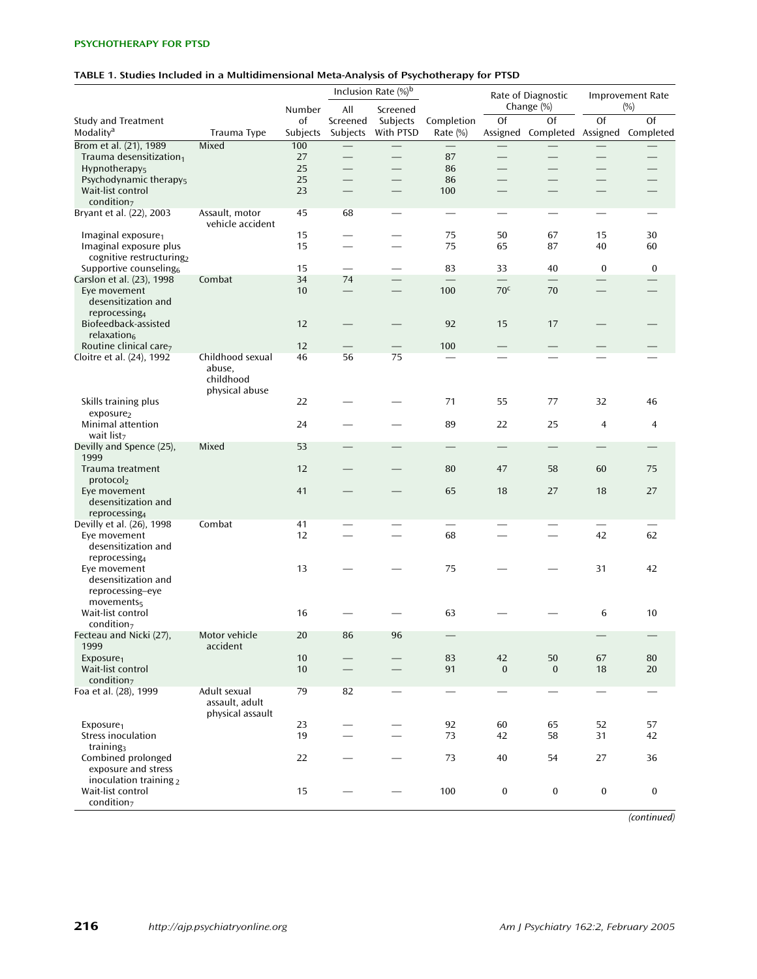## **TABLE 1. Studies Included in a Multidimensional Meta-Analysis of Psychotherapy for PTSD**

|                                                                                   |                                                    |          |          | Inclusion Rate $(\%)^b$ |                                 | Rate of Diagnostic                          |                                       | <b>Improvement Rate</b>  |                  |
|-----------------------------------------------------------------------------------|----------------------------------------------------|----------|----------|-------------------------|---------------------------------|---------------------------------------------|---------------------------------------|--------------------------|------------------|
|                                                                                   |                                                    | Number   | All      | Screened                |                                 |                                             | Change (%)                            |                          | (% )             |
| Study and Treatment                                                               |                                                    | of       | Screened | Subjects                | Completion                      | Of                                          | Of                                    | Of                       | Of               |
| Modality <sup>a</sup>                                                             | Trauma Type                                        | Subjects | Subjects | With PTSD               | Rate $(\%)$                     |                                             | Assigned Completed Assigned Completed |                          |                  |
| Brom et al. (21), 1989                                                            | Mixed                                              | 100      |          |                         | $\qquad \qquad$                 |                                             |                                       |                          |                  |
| Trauma desensitization <sub>1</sub><br>Hypnotherapy <sub>5</sub>                  |                                                    | 27<br>25 |          |                         | 87<br>86                        |                                             |                                       |                          |                  |
| Psychodynamic therapy <sub>5</sub>                                                |                                                    | 25       |          |                         | 86                              |                                             |                                       |                          |                  |
| Wait-list control                                                                 |                                                    | 23       |          |                         | 100                             |                                             |                                       |                          |                  |
| condition <sub>7</sub>                                                            |                                                    |          |          |                         |                                 |                                             |                                       |                          |                  |
| Bryant et al. (22), 2003                                                          | Assault, motor<br>vehicle accident                 | 45       | 68       |                         |                                 |                                             |                                       |                          |                  |
| Imaginal exposure $_1$                                                            |                                                    | 15       |          |                         | 75                              | 50                                          | 67                                    | 15                       | 30               |
| Imaginal exposure plus<br>cognitive restructuring2                                |                                                    | 15       |          |                         | 75                              | 65                                          | 87                                    | 40                       | 60               |
| Supportive counseling6                                                            |                                                    | 15       |          |                         | 83                              | 33                                          | 40                                    | $\mathbf{0}$             | $\boldsymbol{0}$ |
| Carslon et al. (23), 1998                                                         | Combat                                             | 34       | 74       |                         | $\overline{\phantom{0}}$<br>100 | $\overline{\phantom{a}}$<br>70 <sup>c</sup> | 70                                    |                          |                  |
| Eye movement<br>desensitization and                                               |                                                    | 10       |          |                         |                                 |                                             |                                       |                          |                  |
| reprocessing <sub>4</sub><br>Biofeedback-assisted                                 |                                                    | 12       |          |                         | 92                              | 15                                          | 17                                    |                          |                  |
| relaxation <sub>6</sub>                                                           |                                                    |          |          |                         |                                 |                                             |                                       |                          |                  |
| Routine clinical care <sub>7</sub>                                                |                                                    | 12       |          |                         | 100                             |                                             |                                       |                          |                  |
| Cloitre et al. (24), 1992                                                         | Childhood sexual<br>abuse,<br>childhood            | 46       | 56       | 75                      |                                 |                                             |                                       |                          |                  |
| Skills training plus                                                              | physical abuse                                     | 22       |          |                         | 71                              | 55                                          | 77                                    | 32                       | 46               |
| exposure <sub>2</sub><br>Minimal attention                                        |                                                    | 24       |          |                         | 89                              | 22                                          | 25                                    | $\overline{4}$           | 4                |
| wait list $7$<br>Devilly and Spence (25),                                         | Mixed                                              | 53       |          |                         | $\qquad \qquad -$               |                                             |                                       | $\overline{\phantom{0}}$ |                  |
| 1999                                                                              |                                                    |          |          |                         |                                 |                                             |                                       |                          |                  |
| Trauma treatment<br>protocol <sub>2</sub>                                         |                                                    | 12       |          |                         | 80                              | 47                                          | 58                                    | 60                       | 75               |
| Eye movement<br>desensitization and                                               |                                                    | 41       |          |                         | 65                              | 18                                          | 27                                    | 18                       | 27               |
| reprocessing <sub>4</sub><br>Devilly et al. (26), 1998                            | Combat                                             | 41       |          |                         |                                 |                                             |                                       |                          |                  |
| Eye movement<br>desensitization and<br>reprocessing <sub>4</sub>                  |                                                    | 12       |          |                         | 68                              |                                             |                                       | 42                       | 62               |
| Eve movement<br>desensitization and                                               |                                                    | 13       |          |                         | 75                              |                                             |                                       | 31                       | 42               |
| reprocessing-eye<br>moverents <sub>5</sub>                                        |                                                    |          |          |                         |                                 |                                             |                                       |                          |                  |
| Wait-list control<br>condition <sub>7</sub>                                       |                                                    | 16       |          |                         | 63                              |                                             |                                       | 6                        | 10               |
| Fecteau and Nicki (27),<br>1999                                                   | Motor vehicle<br>accident                          | 20       | 86       | 96                      |                                 |                                             |                                       |                          |                  |
| Exposure <sub>1</sub>                                                             |                                                    | 10       |          |                         | 83                              | 42                                          | 50                                    | 67                       | 80               |
| Wait-list control<br>condition <sub>7</sub>                                       |                                                    | 10       |          |                         | 91                              | $\mathbf{0}$                                | $\mathbf{0}$                          | 18                       | 20               |
| Foa et al. (28), 1999                                                             | Adult sexual<br>assault, adult<br>physical assault | 79       | 82       |                         |                                 |                                             | $\overline{\phantom{0}}$              | $\overline{\phantom{0}}$ |                  |
| Exposure <sub>1</sub><br>Stress inoculation                                       |                                                    | 23<br>19 |          |                         | 92<br>73                        | 60                                          | 65                                    | 52                       | 57               |
| training,                                                                         |                                                    |          |          |                         |                                 | 42                                          | 58                                    | 31                       | 42               |
| Combined prolonged<br>exposure and stress                                         |                                                    | 22       |          |                         | 73                              | 40                                          | 54                                    | 27                       | 36               |
| inoculation training $\frac{1}{2}$<br>Wait-list control<br>condition <sub>7</sub> |                                                    | 15       |          |                         | 100                             | $\bf{0}$                                    | $\bf{0}$                              | $\bf{0}$                 | 0                |

*(continued)*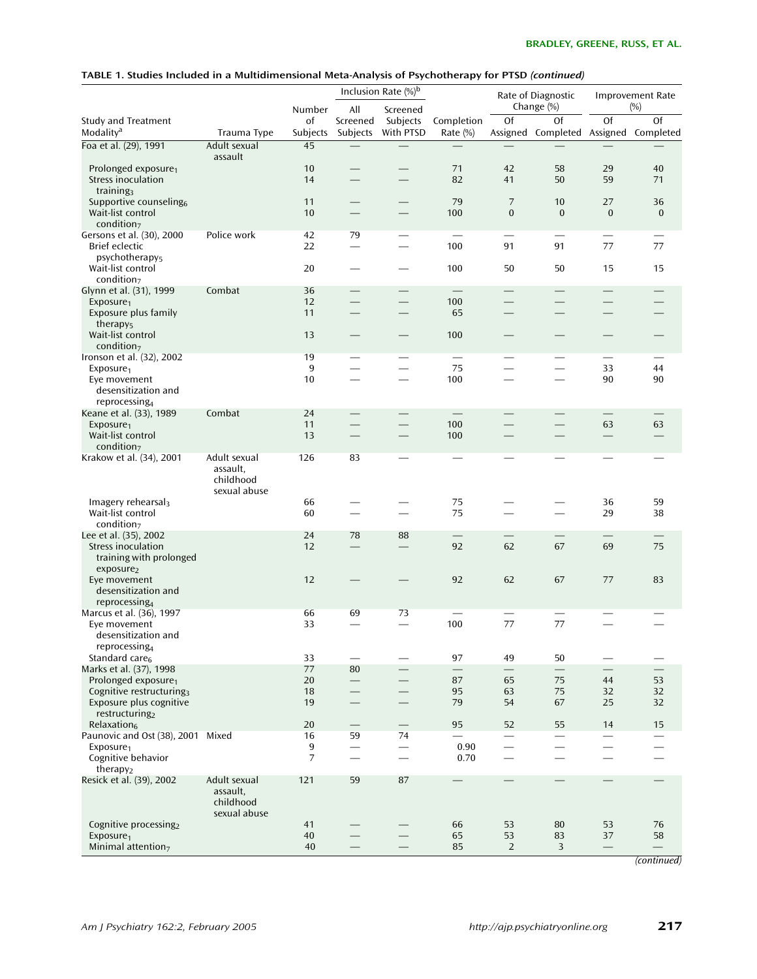| TABLE 1. Studies Included in a Multidimensional Meta-Analysis of Psychotherapy for PTSD (continued) |  |
|-----------------------------------------------------------------------------------------------------|--|
|-----------------------------------------------------------------------------------------------------|--|

| Inclusion Rate $(\%)^b$<br>Rate of Diagnostic<br>Improvement Rate                                                 |                                                       |                      |                                |                       |                        |                                                      |                                             |                                               |                |  |
|-------------------------------------------------------------------------------------------------------------------|-------------------------------------------------------|----------------------|--------------------------------|-----------------------|------------------------|------------------------------------------------------|---------------------------------------------|-----------------------------------------------|----------------|--|
|                                                                                                                   |                                                       | Number               | All                            | Screened              |                        |                                                      | Change (%)                                  | (%)                                           |                |  |
| Study and Treatment<br>Modality <sup>a</sup>                                                                      | Trauma Type                                           | of<br>Subjects       | Screened<br>Subjects           | Subjects<br>With PTSD | Completion<br>Rate (%) | Of                                                   | Of<br>Assigned Completed Assigned Completed | Of                                            | 0f             |  |
| Foa et al. (29), 1991                                                                                             | Adult sexual<br>assault                               | 45                   |                                |                       |                        |                                                      |                                             |                                               |                |  |
| Prolonged exposure <sub>1</sub><br>Stress inoculation<br>training <sub>3</sub>                                    |                                                       | 10<br>14             |                                |                       | 71<br>82               | 42<br>41                                             | 58<br>50                                    | 29<br>59                                      | 40<br>71       |  |
| Supportive counseling <sub>6</sub><br>Wait-list control<br>condition <sub>7</sub>                                 |                                                       | 11<br>10             |                                |                       | 79<br>100              | 7<br>$\mathbf{0}$                                    | 10<br>$\mathbf{0}$                          | 27<br>$\mathbf{0}$                            | 36<br>$\bf{0}$ |  |
| Gersons et al. (30), 2000<br>Brief eclectic<br>$p$ sychotherapy <sub>5</sub>                                      | Police work                                           | 42<br>22             | 79                             |                       | 100                    | 91                                                   | 91                                          | 77                                            | 77             |  |
| Wait-list control<br>condition <sub>7</sub>                                                                       |                                                       | 20                   |                                |                       | 100                    | 50                                                   | 50                                          | 15                                            | 15             |  |
| Glynn et al. (31), 1999<br>Exposure <sub>1</sub><br>Exposure plus family                                          | Combat                                                | 36<br>12<br>11       |                                |                       | 100<br>65              |                                                      | $\overline{\phantom{0}}$                    | $\overline{\phantom{0}}$                      |                |  |
| therapy <sub>5</sub><br>Wait-list control                                                                         |                                                       | 13                   |                                |                       | 100                    |                                                      |                                             |                                               |                |  |
| condition <sub>7</sub><br>Ironson et al. (32), 2002                                                               |                                                       | 19                   |                                |                       |                        |                                                      |                                             |                                               |                |  |
| Exposure <sub>1</sub><br>Eye movement<br>desensitization and<br>reprocessing <sub>4</sub>                         |                                                       | 9<br>10              |                                |                       | 75<br>100              |                                                      | $\overline{\phantom{0}}$                    | 33<br>90                                      | 44<br>90       |  |
| Keane et al. (33), 1989<br>Exposure <sub>1</sub><br>Wait-list control<br>condition <sub>7</sub>                   | Combat                                                | 24<br>11<br>13       |                                |                       | 100<br>100             |                                                      |                                             | 63<br>$\overline{\phantom{0}}$                | 63             |  |
| Krakow et al. (34), 2001                                                                                          | Adult sexual<br>assault,<br>childhood<br>sexual abuse | 126                  | 83                             |                       |                        |                                                      |                                             |                                               |                |  |
| Imagery rehearsal,<br>Wait-list control<br>condition <sub>7</sub>                                                 |                                                       | 66<br>60             |                                |                       | 75<br>75               |                                                      |                                             | 36<br>29                                      | 59<br>38       |  |
| Lee et al. (35), 2002<br>Stress inoculation<br>training with prolonged                                            |                                                       | 24<br>12             | 78                             | 88                    | 92                     | 62                                                   | 67                                          | 69                                            | 75             |  |
| exposure <sub>2</sub><br>Eve movement<br>desensitization and<br>reprocessing <sub>4</sub>                         |                                                       | 12                   |                                |                       | 92                     | 62                                                   | 67                                          | 77                                            | 83             |  |
| Marcus et al. (36), 1997<br>Eye movement<br>desensitization and                                                   |                                                       | 66<br>33             | 69<br>$\overline{\phantom{0}}$ | 73                    | 100                    | 77                                                   | 77                                          |                                               |                |  |
| reprocessing <sub>4</sub><br>Standard care <sub>6</sub>                                                           |                                                       | 33                   |                                |                       | 97                     | 49                                                   | 50                                          |                                               |                |  |
| Marks et al. (37), 1998<br>Prolonged exposure <sub>1</sub><br>Cognitive restructuring,<br>Exposure plus cognitive |                                                       | 77<br>20<br>18<br>19 | 80                             |                       | 87<br>95<br>79         | 65<br>63<br>54                                       | $\overline{\phantom{0}}$<br>75<br>75<br>67  | 44<br>32<br>25                                | 53<br>32<br>32 |  |
| restructuring <sub>2</sub><br>Relaxation $_6$                                                                     |                                                       | 20                   |                                |                       | 95                     | 52                                                   | 55                                          | 14                                            | 15             |  |
| Paunovic and Ost (38), 2001 Mixed<br>Exposure <sub>1</sub><br>Cognitive behavior<br>therapy <sub>2</sub>          |                                                       | 16<br>9<br>7         | 59                             | 74                    | 0.90<br>0.70           | $\overline{\phantom{0}}$<br>$\overline{\phantom{0}}$ | $\overline{\phantom{0}}$                    | $\qquad \qquad -$<br>$\overline{\phantom{0}}$ |                |  |
| Resick et al. (39), 2002                                                                                          | Adult sexual<br>assault,<br>childhood                 | 121                  | 59                             | 87                    |                        |                                                      | $\overline{\phantom{0}}$                    | $\overline{\phantom{0}}$                      |                |  |
| Cognitive processing2<br>Exposure <sub>1</sub><br>Minimal attention <sub>7</sub>                                  | sexual abuse                                          | 41<br>40<br>40       |                                |                       | 66<br>65<br>85         | 53<br>53<br>2                                        | 80<br>83<br>3                               | 53<br>37                                      | 76<br>58       |  |

*(continued)*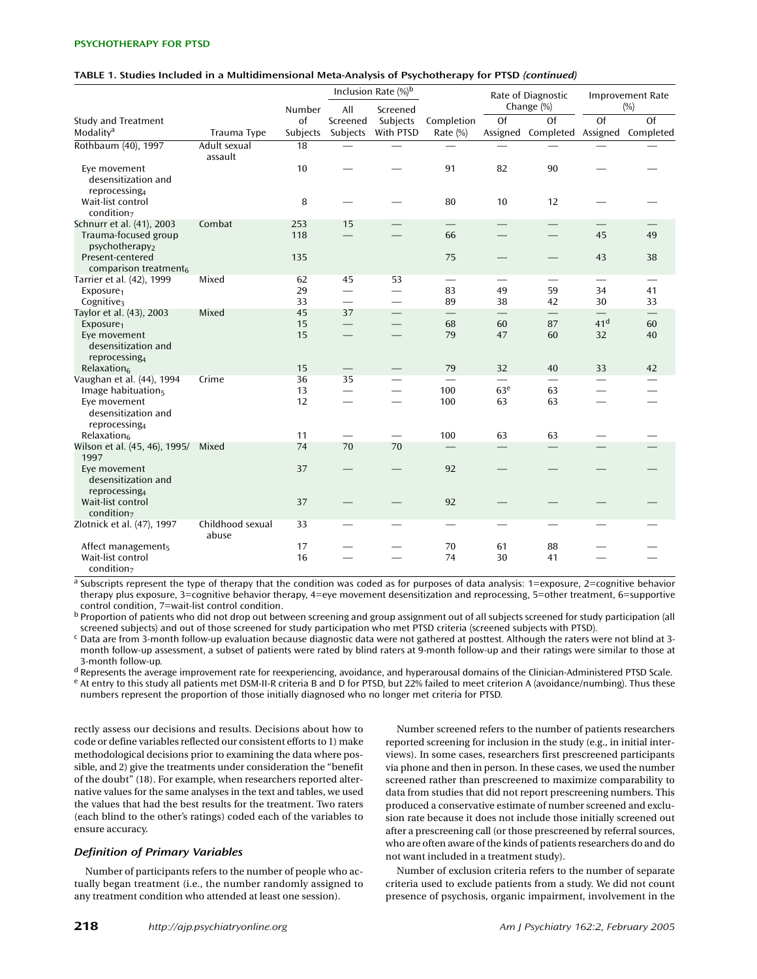#### **TABLE 1. Studies Included in a Multidimensional Meta-Analysis of Psychotherapy for PTSD** *(continued)*

|                                                                   |                           |                 |                               | Inclusion Rate $(\%)^b$ |                          |                                           | Rate of Diagnostic                    | Improvement Rate         |     |  |
|-------------------------------------------------------------------|---------------------------|-----------------|-------------------------------|-------------------------|--------------------------|-------------------------------------------|---------------------------------------|--------------------------|-----|--|
|                                                                   |                           | Number          | All                           | Screened                |                          |                                           | Change (%)                            |                          | (%) |  |
| Study and Treatment                                               |                           | of              | Screened                      | Subjects                | Completion               | Of                                        | Of                                    | Of                       | Of  |  |
| Modality <sup>a</sup>                                             | Trauma Type               | Subjects        | Subjects                      | With PTSD               | Rate (%)                 |                                           | Assigned Completed Assigned Completed |                          |     |  |
| Rothbaum (40), 1997                                               | Adult sexual<br>assault   | $\overline{18}$ |                               |                         |                          |                                           |                                       |                          |     |  |
| Eye movement<br>desensitization and<br>reprocessing <sub>4</sub>  |                           | 10              |                               |                         | 91                       | 82                                        | 90                                    |                          |     |  |
| Wait-list control<br>condition <sub>7</sub>                       |                           | 8               |                               |                         | 80                       | 10                                        | 12                                    |                          |     |  |
| Schnurr et al. (41), 2003                                         | Combat                    | 253             | 15                            |                         |                          | $\overline{\phantom{0}}$                  |                                       |                          |     |  |
| Trauma-focused group<br>psychotherapy <sub>2</sub>                |                           | 118             |                               |                         | 66                       |                                           |                                       | 45                       | 49  |  |
| Present-centered<br>comparison treatment <sub>6</sub>             |                           | 135             |                               |                         | 75                       | $\qquad \qquad \overline{\qquad \qquad }$ |                                       | 43                       | 38  |  |
| Tarrier et al. (42), 1999                                         | Mixed                     | 62              | 45                            | 53                      | —                        |                                           |                                       |                          |     |  |
| Exposure <sub>1</sub>                                             |                           | 29              | $\overbrace{\phantom{aaaaa}}$ |                         | 83                       | 49                                        | 59                                    | 34                       | 41  |  |
| Cognitive <sub>3</sub>                                            |                           | 33              | $\qquad \qquad$               |                         | 89                       | 38                                        | 42                                    | 30                       | 33  |  |
| Taylor et al. (43), 2003                                          | Mixed                     | 45              | 37                            |                         | $\overline{\phantom{0}}$ | $\overline{\phantom{0}}$                  |                                       |                          |     |  |
| Exposure <sub>1</sub>                                             |                           | 15              |                               |                         | 68                       | 60                                        | 87                                    | 41 <sup>d</sup>          | 60  |  |
| Eye movement<br>desensitization and<br>reprocessing <sub>4</sub>  |                           | 15              |                               |                         | 79                       | 47                                        | 60                                    | 32                       | 40  |  |
| Relaxation <sub>6</sub>                                           |                           | 15              |                               |                         | 79                       | 32                                        | 40                                    | 33                       | 42  |  |
| Vaughan et al. (44), 1994                                         | Crime                     | 36              | 35                            |                         |                          |                                           |                                       |                          |     |  |
| Image habituation,                                                |                           | 13              |                               |                         | 100                      | 63 <sup>e</sup>                           | 63                                    | $\overline{\phantom{0}}$ |     |  |
| Eye movement<br>desensitization and<br>reprocessing <sub>4</sub>  |                           | 12              |                               |                         | 100                      | 63                                        | 63                                    |                          |     |  |
| Relaxation6                                                       |                           | 11              |                               |                         | 100                      | 63                                        | 63                                    |                          |     |  |
| Wilson et al. (45, 46), 1995/<br>1997                             | Mixed                     | 74              | 70                            | 70                      | $\qquad \qquad -$        | $\equiv$                                  |                                       |                          |     |  |
| Eye movement<br>desensitization and<br>reprocessing <sub>4</sub>  |                           | 37              |                               |                         | 92                       |                                           |                                       |                          |     |  |
| Wait-list control<br>condition <sub>7</sub>                       |                           | 37              |                               |                         | 92                       |                                           |                                       |                          |     |  |
| Zlotnick et al. (47), 1997                                        | Childhood sexual<br>abuse | 33              |                               |                         |                          |                                           |                                       |                          |     |  |
| Affect managements<br>Wait-list control<br>condition <sub>7</sub> |                           | 17<br>16        |                               |                         | 70<br>74                 | 61<br>30                                  | 88<br>41                              |                          |     |  |

 $\frac{1}{a}$  Subscripts represent the type of therapy that the condition was coded as for purposes of data analysis: 1=exposure, 2=cognitive behavior therapy plus exposure, 3=cognitive behavior therapy, 4=eye movement desensitization and reprocessing, 5=other treatment, 6=supportive control condition, 7=wait-list control condition.

b Proportion of patients who did not drop out between screening and group assignment out of all subjects screened for study participation (all

screened subjects) and out of those screened for study participation who met PTSD criteria (screened subjects with PTSD).<br><sup>c</sup> Data are from 3-month follow-up evaluation because diagnostic data were not gathered at posttest month follow-up assessment, a subset of patients were rated by blind raters at 9-month follow-up and their ratings were similar to those at

3-month follow-up.<br><sup>d</sup> Represents the average improvement rate for reexperiencing, avoidance, and hyperarousal domains of the Clinician-Administered PTSD Scale. e At entry to this study all patients met DSM-II-R criteria B and D for PTSD, but 22% failed to meet criterion A (avoidance/numbing). Thus these

numbers represent the proportion of those initially diagnosed who no longer met criteria for PTSD.

rectly assess our decisions and results. Decisions about how to code or define variables reflected our consistent efforts to 1) make methodological decisions prior to examining the data where possible, and 2) give the treatments under consideration the "benefit of the doubt" (18). For example, when researchers reported alternative values for the same analyses in the text and tables, we used the values that had the best results for the treatment. Two raters (each blind to the other's ratings) coded each of the variables to ensure accuracy.

#### *Definition of Primary Variables*

Number of participants refers to the number of people who actually began treatment (i.e., the number randomly assigned to any treatment condition who attended at least one session).

Number screened refers to the number of patients researchers reported screening for inclusion in the study (e.g., in initial interviews). In some cases, researchers first prescreened participants via phone and then in person. In these cases, we used the number screened rather than prescreened to maximize comparability to data from studies that did not report prescreening numbers. This produced a conservative estimate of number screened and exclusion rate because it does not include those initially screened out after a prescreening call (or those prescreened by referral sources, who are often aware of the kinds of patients researchers do and do not want included in a treatment study).

Number of exclusion criteria refers to the number of separate criteria used to exclude patients from a study. We did not count presence of psychosis, organic impairment, involvement in the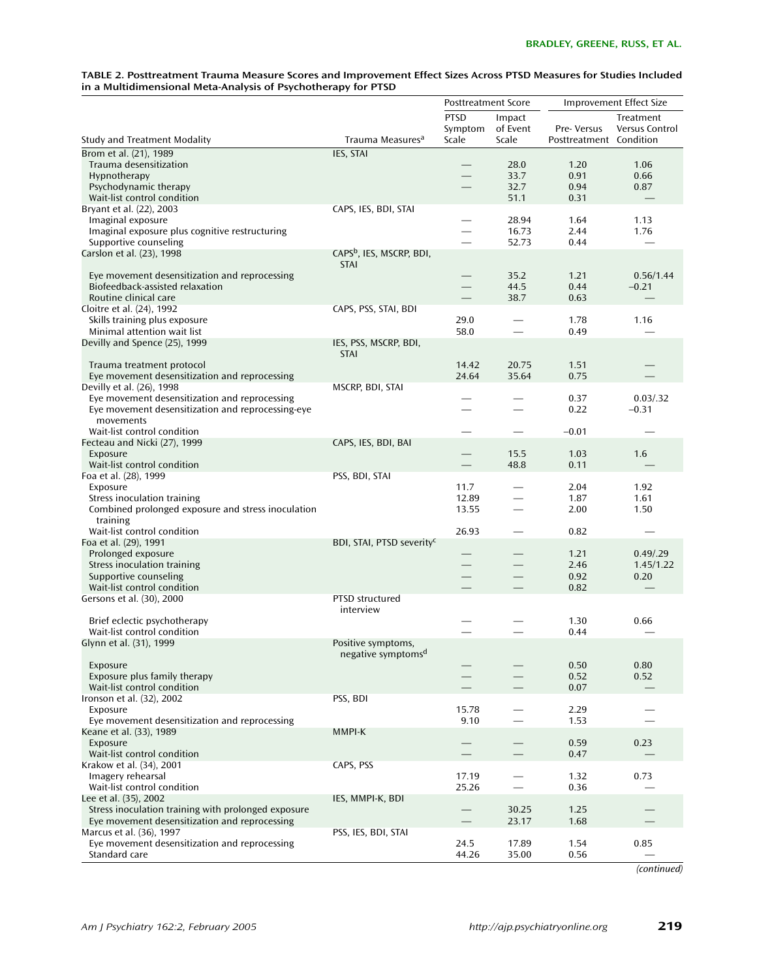| TABLE 2. Posttreatment Trauma Measure Scores and Improvement Effect Sizes Across PTSD Measures for Studies Included |  |
|---------------------------------------------------------------------------------------------------------------------|--|
| in a Multidimensional Meta-Analysis of Psychotherapy for PTSD                                                       |  |

|                                                                |                                       | <b>Posttreatment Score</b> |                          | <b>Improvement Effect Size</b> |                |  |
|----------------------------------------------------------------|---------------------------------------|----------------------------|--------------------------|--------------------------------|----------------|--|
|                                                                |                                       | <b>PTSD</b>                | Impact                   |                                | Treatment      |  |
|                                                                |                                       | Symptom                    | of Event                 | Pre-Versus                     | Versus Control |  |
| Study and Treatment Modality                                   | Trauma Measures <sup>a</sup>          | Scale                      | Scale                    | Posttreatment Condition        |                |  |
| Brom et al. (21), 1989                                         | IES, STAI                             |                            |                          |                                |                |  |
| Trauma desensitization                                         |                                       |                            | 28.0                     | 1.20                           | 1.06           |  |
| Hypnotherapy                                                   |                                       |                            | 33.7                     | 0.91                           | 0.66           |  |
| Psychodynamic therapy<br>Wait-list control condition           |                                       | $\overline{\phantom{0}}$   | 32.7                     | 0.94                           | 0.87           |  |
| Bryant et al. (22), 2003                                       | CAPS, IES, BDI, STAI                  |                            | 51.1                     | 0.31                           |                |  |
| Imaginal exposure                                              |                                       |                            | 28.94                    | 1.64                           | 1.13           |  |
| Imaginal exposure plus cognitive restructuring                 |                                       | $\overline{\phantom{0}}$   | 16.73                    | 2.44                           | 1.76           |  |
| Supportive counseling                                          |                                       | $\equiv$                   | 52.73                    | 0.44                           |                |  |
| Carslon et al. (23), 1998                                      | CAPS <sup>b</sup> , IES, MSCRP, BDI,  |                            |                          |                                |                |  |
|                                                                | <b>STAI</b>                           |                            |                          |                                |                |  |
| Eye movement desensitization and reprocessing                  |                                       |                            | 35.2                     | 1.21                           | 0.56/1.44      |  |
| Biofeedback-assisted relaxation                                |                                       |                            | 44.5                     | 0.44                           | $-0.21$        |  |
| Routine clinical care                                          |                                       | $\overline{\phantom{0}}$   | 38.7                     | 0.63                           |                |  |
| Cloitre et al. (24), 1992                                      | CAPS, PSS, STAI, BDI                  |                            |                          |                                |                |  |
| Skills training plus exposure<br>Minimal attention wait list   |                                       | 29.0<br>58.0               |                          | 1.78<br>0.49                   | 1.16           |  |
| Devilly and Spence (25), 1999                                  | IES, PSS, MSCRP, BDI,                 |                            |                          |                                |                |  |
|                                                                | <b>STAI</b>                           |                            |                          |                                |                |  |
| Trauma treatment protocol                                      |                                       | 14.42                      | 20.75                    | 1.51                           |                |  |
| Eye movement desensitization and reprocessing                  |                                       | 24.64                      | 35.64                    | 0.75                           |                |  |
| Devilly et al. (26), 1998                                      | MSCRP, BDI, STAI                      |                            |                          |                                |                |  |
| Eye movement desensitization and reprocessing                  |                                       |                            |                          | 0.37                           | 0.03/0.32      |  |
| Eye movement desensitization and reprocessing-eye              |                                       |                            |                          | 0.22                           | $-0.31$        |  |
| movements                                                      |                                       |                            |                          |                                |                |  |
| Wait-list control condition                                    |                                       |                            |                          | $-0.01$                        |                |  |
| Fecteau and Nicki (27), 1999                                   | CAPS, IES, BDI, BAI                   |                            |                          |                                |                |  |
| Exposure<br>Wait-list control condition                        |                                       |                            | 15.5                     | 1.03<br>0.11                   | 1.6            |  |
| Foa et al. (28), 1999                                          | PSS, BDI, STAI                        |                            | 48.8                     |                                |                |  |
| Exposure                                                       |                                       | 11.7                       | $\equiv$                 | 2.04                           | 1.92           |  |
| Stress inoculation training                                    |                                       | 12.89                      |                          | 1.87                           | 1.61           |  |
| Combined prolonged exposure and stress inoculation             |                                       | 13.55                      | —                        | 2.00                           | 1.50           |  |
| training                                                       |                                       |                            |                          |                                |                |  |
| Wait-list control condition                                    |                                       | 26.93                      |                          | 0.82                           |                |  |
| Foa et al. (29), 1991                                          | BDI, STAI, PTSD severity <sup>c</sup> |                            |                          |                                |                |  |
| Prolonged exposure                                             |                                       |                            |                          | 1.21                           | 0.49/0.29      |  |
| Stress inoculation training                                    |                                       |                            |                          | 2.46                           | 1.45/1.22      |  |
| Supportive counseling                                          |                                       |                            |                          | 0.92                           | 0.20           |  |
| Wait-list control condition<br>Gersons et al. (30), 2000       | PTSD structured                       |                            |                          | 0.82                           |                |  |
|                                                                | interview                             |                            |                          |                                |                |  |
| Brief eclectic psychotherapy                                   |                                       |                            |                          | 1.30                           | 0.66           |  |
| Wait-list control condition                                    |                                       |                            |                          | 0.44                           |                |  |
| Glynn et al. (31), 1999                                        | Positive symptoms,                    |                            |                          |                                |                |  |
|                                                                | negative symptoms <sup>d</sup>        |                            |                          |                                |                |  |
| Exposure                                                       |                                       |                            |                          | 0.50                           | 0.80           |  |
| Exposure plus family therapy                                   |                                       |                            |                          | 0.52                           | 0.52           |  |
| Wait-list control condition                                    |                                       |                            |                          | 0.07                           |                |  |
| Ironson et al. (32), 2002                                      | PSS, BDI                              |                            |                          |                                |                |  |
| Exposure<br>Eye movement desensitization and reprocessing      |                                       | 15.78<br>9.10              |                          | 2.29<br>1.53                   |                |  |
| Keane et al. (33), 1989                                        | MMPI-K                                |                            |                          |                                |                |  |
| Exposure                                                       |                                       |                            |                          | 0.59                           | 0.23           |  |
| Wait-list control condition                                    |                                       |                            | $\overline{\phantom{0}}$ | 0.47                           |                |  |
| Krakow et al. (34), 2001                                       | CAPS, PSS                             |                            |                          |                                |                |  |
| Imagery rehearsal                                              |                                       | 17.19                      |                          | 1.32                           | 0.73           |  |
| Wait-list control condition                                    |                                       | 25.26                      | $\overline{\phantom{0}}$ | 0.36                           |                |  |
| Lee et al. (35), 2002                                          | IES, MMPI-K, BDI                      |                            |                          |                                |                |  |
| Stress inoculation training with prolonged exposure            |                                       |                            | 30.25                    | 1.25                           |                |  |
| Eye movement desensitization and reprocessing                  |                                       |                            | 23.17                    | 1.68                           |                |  |
| Marcus et al. (36), 1997                                       | PSS, IES, BDI, STAI                   |                            | 17.89                    | 1.54                           | 0.85           |  |
| Eye movement desensitization and reprocessing<br>Standard care |                                       | 24.5<br>44.26              | 35.00                    | 0.56                           |                |  |
|                                                                |                                       |                            |                          |                                |                |  |

*(continued)*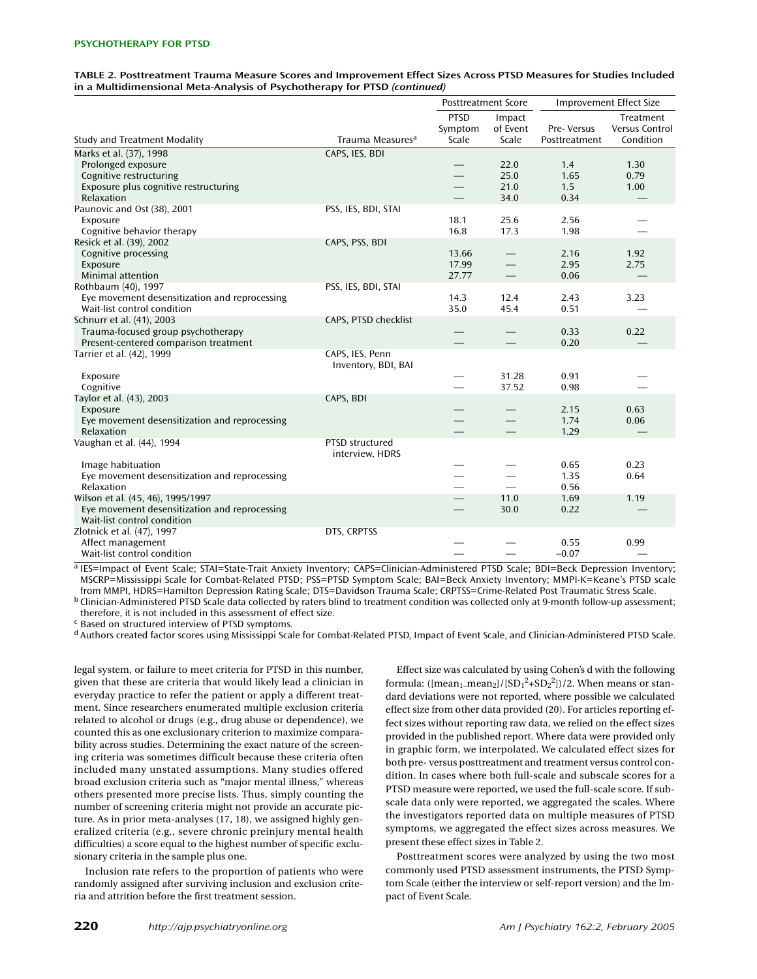| TABLE 2. Posttreatment Trauma Measure Scores and Improvement Effect Sizes Across PTSD Measures for Studies Included |
|---------------------------------------------------------------------------------------------------------------------|
| in a Multidimensional Meta-Analysis of Psychotherapy for PTSD (continued)                                           |

|                                                             |                                        | <b>Posttreatment Score</b>      |                             |                             | Improvement Effect Size                  |  |
|-------------------------------------------------------------|----------------------------------------|---------------------------------|-----------------------------|-----------------------------|------------------------------------------|--|
| Study and Treatment Modality                                | Trauma Measures <sup>a</sup>           | <b>PTSD</b><br>Symptom<br>Scale | Impact<br>of Event<br>Scale | Pre-Versus<br>Posttreatment | Treatment<br>Versus Control<br>Condition |  |
| Marks et al. (37), 1998                                     | CAPS, IES, BDI                         |                                 |                             |                             |                                          |  |
| Prolonged exposure                                          |                                        |                                 | 22.0                        | 1.4                         | 1.30                                     |  |
| Cognitive restructuring                                     |                                        |                                 | 25.0                        | 1.65                        | 0.79                                     |  |
| Exposure plus cognitive restructuring                       |                                        |                                 | 21.0                        | 1.5                         | 1.00                                     |  |
| Relaxation                                                  |                                        |                                 | 34.0                        | 0.34                        |                                          |  |
| Paunovic and Ost (38), 2001                                 | PSS, IES, BDI, STAI                    |                                 |                             |                             |                                          |  |
| Exposure                                                    |                                        | 18.1                            | 25.6                        | 2.56                        |                                          |  |
| Cognitive behavior therapy                                  |                                        | 16.8                            | 17.3                        | 1.98                        |                                          |  |
| Resick et al. (39), 2002                                    | CAPS, PSS, BDI                         |                                 |                             |                             |                                          |  |
| Cognitive processing                                        |                                        | 13.66                           |                             | 2.16                        | 1.92                                     |  |
| Exposure                                                    |                                        | 17.99                           |                             | 2.95                        | 2.75                                     |  |
| Minimal attention                                           |                                        | 27.77                           |                             | 0.06                        |                                          |  |
| Rothbaum (40), 1997                                         | PSS, IES, BDI, STAI                    |                                 |                             |                             |                                          |  |
| Eye movement desensitization and reprocessing               |                                        | 14.3                            | 12.4                        | 2.43                        | 3.23                                     |  |
| Wait-list control condition                                 |                                        | 35.0                            | 45.4                        | 0.51                        |                                          |  |
| Schnurr et al. (41), 2003                                   | CAPS, PTSD checklist                   |                                 |                             |                             |                                          |  |
| Trauma-focused group psychotherapy                          |                                        |                                 |                             | 0.33                        | 0.22                                     |  |
| Present-centered comparison treatment                       |                                        |                                 |                             | 0.20                        |                                          |  |
| Tarrier et al. (42), 1999                                   | CAPS, IES, Penn<br>Inventory, BDI, BAI |                                 |                             |                             |                                          |  |
| Exposure                                                    |                                        |                                 | 31.28                       | 0.91                        |                                          |  |
| Cognitive                                                   |                                        |                                 | 37.52                       | 0.98                        |                                          |  |
| Taylor et al. (43), 2003                                    | CAPS, BDI                              |                                 |                             |                             |                                          |  |
| Exposure                                                    |                                        |                                 |                             | 2.15                        | 0.63                                     |  |
| Eye movement desensitization and reprocessing               |                                        |                                 |                             | 1.74                        | 0.06                                     |  |
| Relaxation                                                  |                                        |                                 |                             | 1.29                        |                                          |  |
| Vaughan et al. (44), 1994                                   | PTSD structured<br>interview, HDRS     |                                 |                             |                             |                                          |  |
| Image habituation                                           |                                        |                                 |                             | 0.65                        | 0.23                                     |  |
| Eye movement desensitization and reprocessing<br>Relaxation |                                        |                                 |                             | 1.35<br>0.56                | 0.64                                     |  |
| Wilson et al. (45, 46), 1995/1997                           |                                        |                                 | 11.0                        | 1.69                        | 1.19                                     |  |
| Eye movement desensitization and reprocessing               |                                        |                                 | 30.0                        | 0.22                        |                                          |  |
| Wait-list control condition                                 |                                        |                                 |                             |                             |                                          |  |
| Zlotnick et al. (47), 1997                                  | DTS, CRPTSS                            |                                 |                             |                             |                                          |  |
| Affect management                                           |                                        |                                 |                             | 0.55                        | 0.99                                     |  |
| Wait-list control condition                                 |                                        |                                 |                             | $-0.07$                     |                                          |  |

a IES=Impact of Event Scale; STAI=State-Trait Anxiety Inventory; CAPS=Clinician-Administered PTSD Scale; BDI=Beck Depression Inventory; MSCRP=Mississippi Scale for Combat-Related PTSD; PSS=PTSD Symptom Scale; BAI=Beck Anxiety Inventory; MMPI-K=Keane's PTSD scale from MMPI, HDRS=Hamilton Depression Rating Scale; DTS=Davidson Trauma Scale; CRPTSS=Crime-Related Post Traumatic Stress Scale.

<sup>b</sup> Clinician-Administered PTSD Scale data collected by raters blind to treatment condition was collected only at 9-month follow-up assessment; therefore, it is not included in this assessment of effect size.

<sup>c</sup> Based on structured interview of PTSD symptoms.

<sup>d</sup> Authors created factor scores using Mississippi Scale for Combat-Related PTSD, Impact of Event Scale, and Clinician-Administered PTSD Scale.

legal system, or failure to meet criteria for PTSD in this number, given that these are criteria that would likely lead a clinician in everyday practice to refer the patient or apply a different treatment. Since researchers enumerated multiple exclusion criteria related to alcohol or drugs (e.g., drug abuse or dependence), we counted this as one exclusionary criterion to maximize comparability across studies. Determining the exact nature of the screening criteria was sometimes difficult because these criteria often included many unstated assumptions. Many studies offered broad exclusion criteria such as "major mental illness," whereas others presented more precise lists. Thus, simply counting the number of screening criteria might not provide an accurate picture. As in prior meta-analyses (17, 18), we assigned highly generalized criteria (e.g., severe chronic preinjury mental health difficulties) a score equal to the highest number of specific exclusionary criteria in the sample plus one.

Inclusion rate refers to the proportion of patients who were randomly assigned after surviving inclusion and exclusion criteria and attrition before the first treatment session.

Effect size was calculated by using Cohen's d with the following formula:  $([mean_1_mean_2]/[SD_1^2+SD_2^2])/2$ . When means or standard deviations were not reported, where possible we calculated effect size from other data provided (20). For articles reporting effect sizes without reporting raw data, we relied on the effect sizes provided in the published report. Where data were provided only in graphic form, we interpolated. We calculated effect sizes for both pre- versus posttreatment and treatment versus control condition. In cases where both full-scale and subscale scores for a PTSD measure were reported, we used the full-scale score. If subscale data only were reported, we aggregated the scales. Where the investigators reported data on multiple measures of PTSD symptoms, we aggregated the effect sizes across measures. We present these effect sizes in Table 2.

Posttreatment scores were analyzed by using the two most commonly used PTSD assessment instruments, the PTSD Symptom Scale (either the interview or self-report version) and the Impact of Event Scale.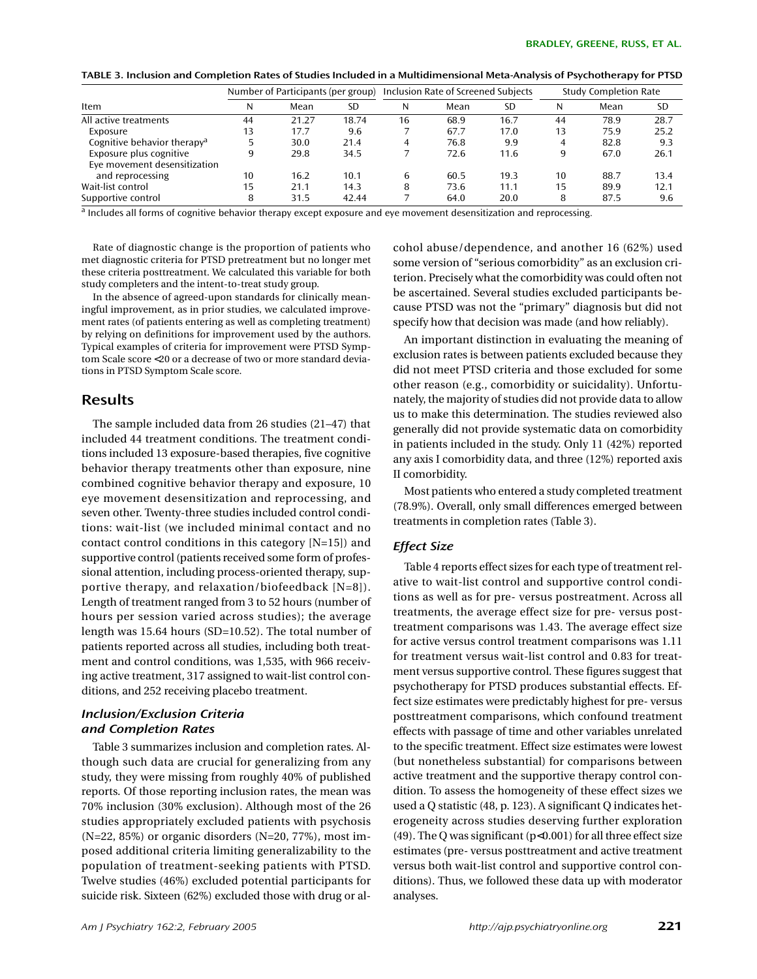|                                         |    | Number of Participants (per group) |       |    | Inclusion Rate of Screened Subjects |      | <b>Study Completion Rate</b> |      |      |
|-----------------------------------------|----|------------------------------------|-------|----|-------------------------------------|------|------------------------------|------|------|
| Item                                    | N  | Mean                               | SD    | N  | Mean                                | SD   | N                            | Mean | SD   |
| All active treatments                   | 44 | 21.27                              | 18.74 | 16 | 68.9                                | 16.7 | 44                           | 78.9 | 28.7 |
| Exposure                                | 13 | 17.7                               | 9.6   |    | 67.7                                | 17.0 | 13                           | 75.9 | 25.2 |
| Cognitive behavior therapy <sup>a</sup> |    | 30.0                               | 21.4  | 4  | 76.8                                | 9.9  | 4                            | 82.8 | 9.3  |
| Exposure plus cognitive                 |    | 29.8                               | 34.5  |    | 72.6                                | 11.6 | 9                            | 67.0 | 26.1 |
| Eye movement desensitization            |    |                                    |       |    |                                     |      |                              |      |      |
| and reprocessing                        | 10 | 16.2                               | 10.1  | 6  | 60.5                                | 19.3 | 10                           | 88.7 | 13.4 |
| Wait-list control                       | 15 | 21.1                               | 14.3  | 8  | 73.6                                | 11.1 | 15                           | 89.9 | 12.1 |
| Supportive control                      |    | 31.5                               | 42.44 |    | 64.0                                | 20.0 | 8                            | 87.5 | 9.6  |

**TABLE 3. Inclusion and Completion Rates of Studies Included in a Multidimensional Meta-Analysis of Psychotherapy for PTSD**

a Includes all forms of cognitive behavior therapy except exposure and eye movement desensitization and reprocessing.

Rate of diagnostic change is the proportion of patients who met diagnostic criteria for PTSD pretreatment but no longer met these criteria posttreatment. We calculated this variable for both study completers and the intent-to-treat study group.

In the absence of agreed-upon standards for clinically meaningful improvement, as in prior studies, we calculated improvement rates (of patients entering as well as completing treatment) by relying on definitions for improvement used by the authors. Typical examples of criteria for improvement were PTSD Symptom Scale score <20 or a decrease of two or more standard deviations in PTSD Symptom Scale score.

# **Results**

The sample included data from 26 studies (21–47) that included 44 treatment conditions. The treatment conditions included 13 exposure-based therapies, five cognitive behavior therapy treatments other than exposure, nine combined cognitive behavior therapy and exposure, 10 eye movement desensitization and reprocessing, and seven other. Twenty-three studies included control conditions: wait-list (we included minimal contact and no contact control conditions in this category [N=15]) and supportive control (patients received some form of professional attention, including process-oriented therapy, supportive therapy, and relaxation/biofeedback [N=8]). Length of treatment ranged from 3 to 52 hours (number of hours per session varied across studies); the average length was 15.64 hours (SD=10.52). The total number of patients reported across all studies, including both treatment and control conditions, was 1,535, with 966 receiving active treatment, 317 assigned to wait-list control conditions, and 252 receiving placebo treatment.

## *Inclusion/Exclusion Criteria and Completion Rates*

Table 3 summarizes inclusion and completion rates. Although such data are crucial for generalizing from any study, they were missing from roughly 40% of published reports. Of those reporting inclusion rates, the mean was 70% inclusion (30% exclusion). Although most of the 26 studies appropriately excluded patients with psychosis (N=22, 85%) or organic disorders (N=20, 77%), most imposed additional criteria limiting generalizability to the population of treatment-seeking patients with PTSD. Twelve studies (46%) excluded potential participants for suicide risk. Sixteen (62%) excluded those with drug or alcohol abuse/dependence, and another 16 (62%) used some version of "serious comorbidity" as an exclusion criterion. Precisely what the comorbidity was could often not be ascertained. Several studies excluded participants because PTSD was not the "primary" diagnosis but did not specify how that decision was made (and how reliably).

An important distinction in evaluating the meaning of exclusion rates is between patients excluded because they did not meet PTSD criteria and those excluded for some other reason (e.g., comorbidity or suicidality). Unfortunately, the majority of studies did not provide data to allow us to make this determination. The studies reviewed also generally did not provide systematic data on comorbidity in patients included in the study. Only 11 (42%) reported any axis I comorbidity data, and three (12%) reported axis II comorbidity.

Most patients who entered a study completed treatment (78.9%). Overall, only small differences emerged between treatments in completion rates (Table 3).

## *Effect Size*

Table 4 reports effect sizes for each type of treatment relative to wait-list control and supportive control conditions as well as for pre- versus postreatment. Across all treatments, the average effect size for pre- versus posttreatment comparisons was 1.43. The average effect size for active versus control treatment comparisons was 1.11 for treatment versus wait-list control and 0.83 for treatment versus supportive control. These figures suggest that psychotherapy for PTSD produces substantial effects. Effect size estimates were predictably highest for pre- versus posttreatment comparisons, which confound treatment effects with passage of time and other variables unrelated to the specific treatment. Effect size estimates were lowest (but nonetheless substantial) for comparisons between active treatment and the supportive therapy control condition. To assess the homogeneity of these effect sizes we used a Q statistic (48, p. 123). A significant Q indicates heterogeneity across studies deserving further exploration (49). The Q was significant (p<0.001) for all three effect size estimates (pre- versus posttreatment and active treatment versus both wait-list control and supportive control conditions). Thus, we followed these data up with moderator analyses.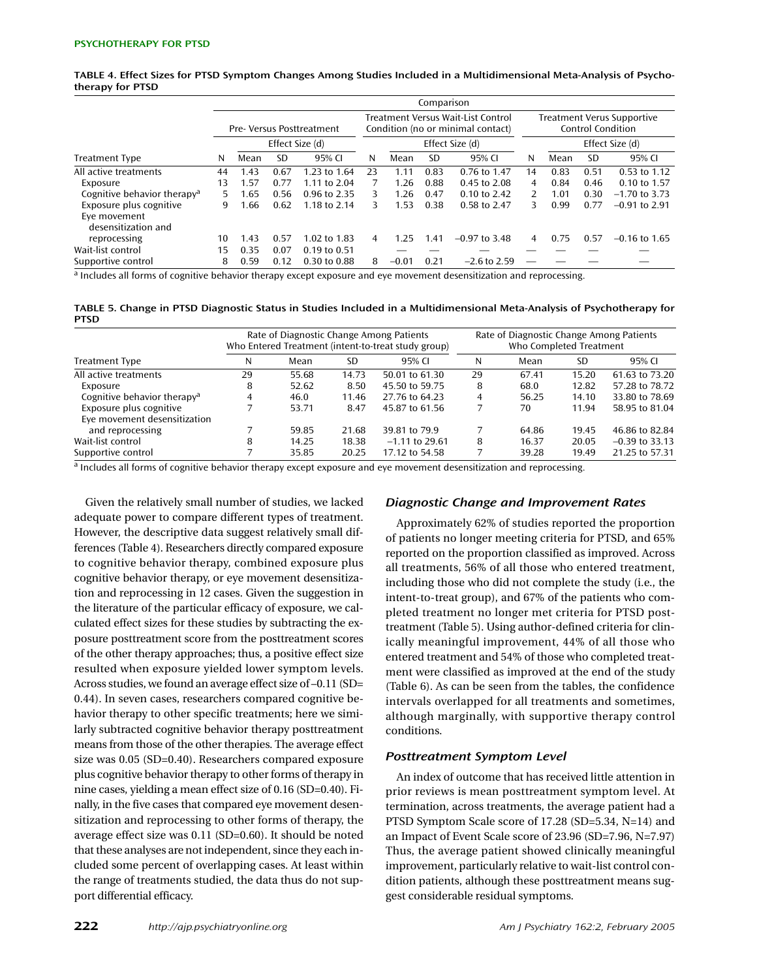**TABLE 4. Effect Sizes for PTSD Symptom Changes Among Studies Included in a Multidimensional Meta-Analysis of Psychotherapy for PTSD**

|                                         | Comparison                |                 |      |                  |    |                                                                         |      |                  |                 |                                                               |      |                  |  |
|-----------------------------------------|---------------------------|-----------------|------|------------------|----|-------------------------------------------------------------------------|------|------------------|-----------------|---------------------------------------------------------------|------|------------------|--|
|                                         | Pre- Versus Posttreatment |                 |      |                  |    | Treatment Versus Wait-List Control<br>Condition (no or minimal contact) |      |                  |                 | <b>Treatment Verus Supportive</b><br><b>Control Condition</b> |      |                  |  |
|                                         |                           | Effect Size (d) |      |                  |    | Effect Size (d)                                                         |      |                  | Effect Size (d) |                                                               |      |                  |  |
| <b>Treatment Type</b>                   | N                         | Mean            | SD   | 95% CI           | N  | Mean                                                                    | SD   | 95% CI           | N               | Mean                                                          | SD   | 95% CI           |  |
| All active treatments                   | 44                        | 1.43            | 0.67 | 1.23 to 1.64     | 23 | 1.11                                                                    | 0.83 | $0.76$ to $1.47$ | 14              | 0.83                                                          | 0.51 | $0.53$ to $1.12$ |  |
| Exposure                                | 13                        | 1.57            | 0.77 | 1.11 to 2.04     |    | 1.26                                                                    | 0.88 | $0.45$ to $2.08$ | 4               | 0.84                                                          | 0.46 | 0.10 to 1.57     |  |
| Cognitive behavior therapy <sup>a</sup> | 5.                        | 1.65            | 0.56 | 0.96 to 2.35     | З  | 1.26                                                                    | 0.47 | $0.10$ to 2.42   |                 | 1.01                                                          | 0.30 | $-1.70$ to 3.73  |  |
| Exposure plus cognitive                 | 9                         | 1.66            | 0.62 | 1.18 to 2.14     | 3  | 1.53                                                                    | 0.38 | 0.58 to 2.47     | 3               | 0.99                                                          | 0.77 | $-0.91$ to 2.91  |  |
| Eve movement<br>desensitization and     |                           |                 |      |                  |    |                                                                         |      |                  |                 |                                                               |      |                  |  |
| reprocessing                            | 10                        | 1.43            | 0.57 | 1.02 to 1.83     | 4  | 1.25                                                                    | 1.41 | $-0.97$ to 3.48  | 4               | 0.75                                                          | 0.57 | $-0.16$ to 1.65  |  |
| Wait-list control                       | 15                        | 0.35            | 0.07 | $0.19$ to $0.51$ |    |                                                                         |      |                  |                 |                                                               |      |                  |  |
| Supportive control                      | 8                         | 0.59            | 0.12 | 0.30 to 0.88     | 8  | $-0.01$                                                                 | 0.21 | $-2.6$ to 2.59   |                 |                                                               |      |                  |  |

a Includes all forms of cognitive behavior therapy except exposure and eye movement desensitization and reprocessing.

**TABLE 5. Change in PTSD Diagnostic Status in Studies Included in a Multidimensional Meta-Analysis of Psychotherapy for PTSD**

|                                         |    | Rate of Diagnostic Change Among Patients |       | Who Entered Treatment (intent-to-treat study group) | Rate of Diagnostic Change Among Patients<br>Who Completed Treatment |       |       |                  |  |
|-----------------------------------------|----|------------------------------------------|-------|-----------------------------------------------------|---------------------------------------------------------------------|-------|-------|------------------|--|
| <b>Treatment Type</b>                   | N  | Mean                                     | SD    | 95% CI                                              | N                                                                   | Mean  | SD    | 95% CL           |  |
| All active treatments                   | 29 | 55.68                                    | 14.73 | 50.01 to 61.30                                      | 29                                                                  | 67.41 | 15.20 | 61.63 to 73.20   |  |
| Exposure                                | 8  | 52.62                                    | 8.50  | 45.50 to 59.75                                      | 8                                                                   | 68.0  | 12.82 | 57.28 to 78.72   |  |
| Cognitive behavior therapy <sup>a</sup> | 4  | 46.0                                     | 11.46 | 27.76 to 64.23                                      | 4                                                                   | 56.25 | 14.10 | 33.80 to 78.69   |  |
| Exposure plus cognitive                 |    | 53.71                                    | 8.47  | 45.87 to 61.56                                      |                                                                     | 70    | 11.94 | 58.95 to 81.04   |  |
| Eye movement desensitization            |    |                                          |       |                                                     |                                                                     |       |       |                  |  |
| and reprocessing                        |    | 59.85                                    | 21.68 | 39.81 to 79.9                                       |                                                                     | 64.86 | 19.45 | 46.86 to 82.84   |  |
| Wait-list control                       | 8  | 14.25                                    | 18.38 | $-1.11$ to 29.61                                    | 8                                                                   | 16.37 | 20.05 | $-0.39$ to 33.13 |  |
| Supportive control                      |    | 35.85                                    | 20.25 | 17.12 to 54.58                                      |                                                                     | 39.28 | 19.49 | 21.25 to 57.31   |  |

a Includes all forms of cognitive behavior therapy except exposure and eye movement desensitization and reprocessing.

Given the relatively small number of studies, we lacked adequate power to compare different types of treatment. However, the descriptive data suggest relatively small differences (Table 4). Researchers directly compared exposure to cognitive behavior therapy, combined exposure plus cognitive behavior therapy, or eye movement desensitization and reprocessing in 12 cases. Given the suggestion in the literature of the particular efficacy of exposure, we calculated effect sizes for these studies by subtracting the exposure posttreatment score from the posttreatment scores of the other therapy approaches; thus, a positive effect size resulted when exposure yielded lower symptom levels. Across studies, we found an average effect size of –0.11 (SD= 0.44). In seven cases, researchers compared cognitive behavior therapy to other specific treatments; here we similarly subtracted cognitive behavior therapy posttreatment means from those of the other therapies. The average effect size was 0.05 (SD=0.40). Researchers compared exposure plus cognitive behavior therapy to other forms of therapy in nine cases, yielding a mean effect size of 0.16 (SD=0.40). Finally, in the five cases that compared eye movement desensitization and reprocessing to other forms of therapy, the average effect size was 0.11 (SD=0.60). It should be noted that these analyses are not independent, since they each included some percent of overlapping cases. At least within the range of treatments studied, the data thus do not support differential efficacy.

## *Diagnostic Change and Improvement Rates*

Approximately 62% of studies reported the proportion of patients no longer meeting criteria for PTSD, and 65% reported on the proportion classified as improved. Across all treatments, 56% of all those who entered treatment, including those who did not complete the study (i.e., the intent-to-treat group), and 67% of the patients who completed treatment no longer met criteria for PTSD posttreatment (Table 5). Using author-defined criteria for clinically meaningful improvement, 44% of all those who entered treatment and 54% of those who completed treatment were classified as improved at the end of the study (Table 6). As can be seen from the tables, the confidence intervals overlapped for all treatments and sometimes, although marginally, with supportive therapy control conditions.

#### *Posttreatment Symptom Level*

An index of outcome that has received little attention in prior reviews is mean posttreatment symptom level. At termination, across treatments, the average patient had a PTSD Symptom Scale score of 17.28 (SD=5.34, N=14) and an Impact of Event Scale score of 23.96 (SD=7.96, N=7.97) Thus, the average patient showed clinically meaningful improvement, particularly relative to wait-list control condition patients, although these posttreatment means suggest considerable residual symptoms.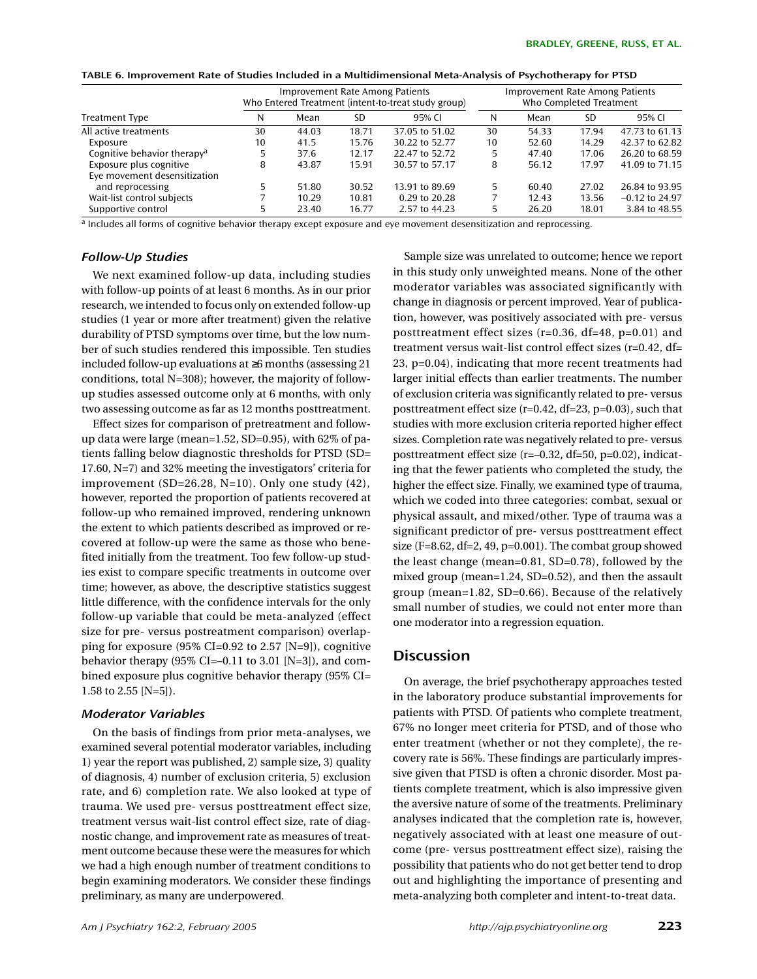|                                         |    | Improvement Rate Among Patients |       | Who Entered Treatment (intent-to-treat study group) | Improvement Rate Among Patients<br>Who Completed Treatment |       |       |                  |  |
|-----------------------------------------|----|---------------------------------|-------|-----------------------------------------------------|------------------------------------------------------------|-------|-------|------------------|--|
| <b>Treatment Type</b>                   | N  | Mean                            | SD    | 95% CL                                              | N                                                          | Mean  | SD    | 95% CI           |  |
| All active treatments                   | 30 | 44.03                           | 18.71 | 37.05 to 51.02                                      | 30                                                         | 54.33 | 17.94 | 47.73 to 61.13   |  |
| Exposure                                | 10 | 41.5                            | 15.76 | 30.22 to 52.77                                      | 10                                                         | 52.60 | 14.29 | 42.37 to 62.82   |  |
| Cognitive behavior therapy <sup>a</sup> | כ  | 37.6                            | 12.17 | 22.47 to 52.72                                      |                                                            | 47.40 | 17.06 | 26.20 to 68.59   |  |
| Exposure plus cognitive                 | 8  | 43.87                           | 15.91 | 30.57 to 57.17                                      | 8                                                          | 56.12 | 17.97 | 41.09 to 71.15   |  |
| Eye movement desensitization            |    |                                 |       |                                                     |                                                            |       |       |                  |  |
| and reprocessing                        | 5  | 51.80                           | 30.52 | 13.91 to 89.69                                      |                                                            | 60.40 | 27.02 | 26.84 to 93.95   |  |
| Wait-list control subjects              |    | 10.29                           | 10.81 | $0.29$ to $20.28$                                   |                                                            | 12.43 | 13.56 | $-0.12$ to 24.97 |  |
| Supportive control                      | ל  | 23.40                           | 16.77 | 2.57 to 44.23                                       |                                                            | 26.20 | 18.01 | 3.84 to 48.55    |  |

| TABLE 6. Improvement Rate of Studies Included in a Multidimensional Meta-Analysis of Psychotherapy for PTSD |  |
|-------------------------------------------------------------------------------------------------------------|--|
|-------------------------------------------------------------------------------------------------------------|--|

a Includes all forms of cognitive behavior therapy except exposure and eye movement desensitization and reprocessing.

#### *Follow-Up Studies*

We next examined follow-up data, including studies with follow-up points of at least 6 months. As in our prior research, we intended to focus only on extended follow-up studies (1 year or more after treatment) given the relative durability of PTSD symptoms over time, but the low number of such studies rendered this impossible. Ten studies included follow-up evaluations at ≥6 months (assessing 21 conditions, total N=308); however, the majority of followup studies assessed outcome only at 6 months, with only two assessing outcome as far as 12 months posttreatment.

Effect sizes for comparison of pretreatment and followup data were large (mean=1.52, SD=0.95), with 62% of patients falling below diagnostic thresholds for PTSD (SD= 17.60, N=7) and 32% meeting the investigators' criteria for improvement (SD=26.28, N=10). Only one study (42), however, reported the proportion of patients recovered at follow-up who remained improved, rendering unknown the extent to which patients described as improved or recovered at follow-up were the same as those who benefited initially from the treatment. Too few follow-up studies exist to compare specific treatments in outcome over time; however, as above, the descriptive statistics suggest little difference, with the confidence intervals for the only follow-up variable that could be meta-analyzed (effect size for pre- versus postreatment comparison) overlapping for exposure  $(95\%$  CI=0.92 to 2.57 [N=9]), cognitive behavior therapy  $(95\%$  CI=–0.11 to 3.01 [N=3]), and combined exposure plus cognitive behavior therapy (95% CI= 1.58 to 2.55 [N=5]).

## *Moderator Variables*

On the basis of findings from prior meta-analyses, we examined several potential moderator variables, including 1) year the report was published, 2) sample size, 3) quality of diagnosis, 4) number of exclusion criteria, 5) exclusion rate, and 6) completion rate. We also looked at type of trauma. We used pre- versus posttreatment effect size, treatment versus wait-list control effect size, rate of diagnostic change, and improvement rate as measures of treatment outcome because these were the measures for which we had a high enough number of treatment conditions to begin examining moderators. We consider these findings preliminary, as many are underpowered.

Sample size was unrelated to outcome; hence we report in this study only unweighted means. None of the other moderator variables was associated significantly with change in diagnosis or percent improved. Year of publication, however, was positively associated with pre- versus posttreatment effect sizes (r=0.36, df=48, p=0.01) and treatment versus wait-list control effect sizes (r=0.42, df= 23, p=0.04), indicating that more recent treatments had larger initial effects than earlier treatments. The number of exclusion criteria was significantly related to pre- versus posttreatment effect size (r=0.42, df=23, p=0.03), such that studies with more exclusion criteria reported higher effect sizes. Completion rate was negatively related to pre- versus posttreatment effect size (r=–0.32, df=50, p=0.02), indicating that the fewer patients who completed the study, the higher the effect size. Finally, we examined type of trauma, which we coded into three categories: combat, sexual or physical assault, and mixed/other. Type of trauma was a significant predictor of pre- versus posttreatment effect size (F=8.62, df=2, 49, p=0.001). The combat group showed the least change (mean=0.81, SD=0.78), followed by the mixed group (mean=1.24, SD=0.52), and then the assault group (mean=1.82, SD=0.66). Because of the relatively small number of studies, we could not enter more than one moderator into a regression equation.

# **Discussion**

On average, the brief psychotherapy approaches tested in the laboratory produce substantial improvements for patients with PTSD. Of patients who complete treatment, 67% no longer meet criteria for PTSD, and of those who enter treatment (whether or not they complete), the recovery rate is 56%. These findings are particularly impressive given that PTSD is often a chronic disorder. Most patients complete treatment, which is also impressive given the aversive nature of some of the treatments. Preliminary analyses indicated that the completion rate is, however, negatively associated with at least one measure of outcome (pre- versus posttreatment effect size), raising the possibility that patients who do not get better tend to drop out and highlighting the importance of presenting and meta-analyzing both completer and intent-to-treat data.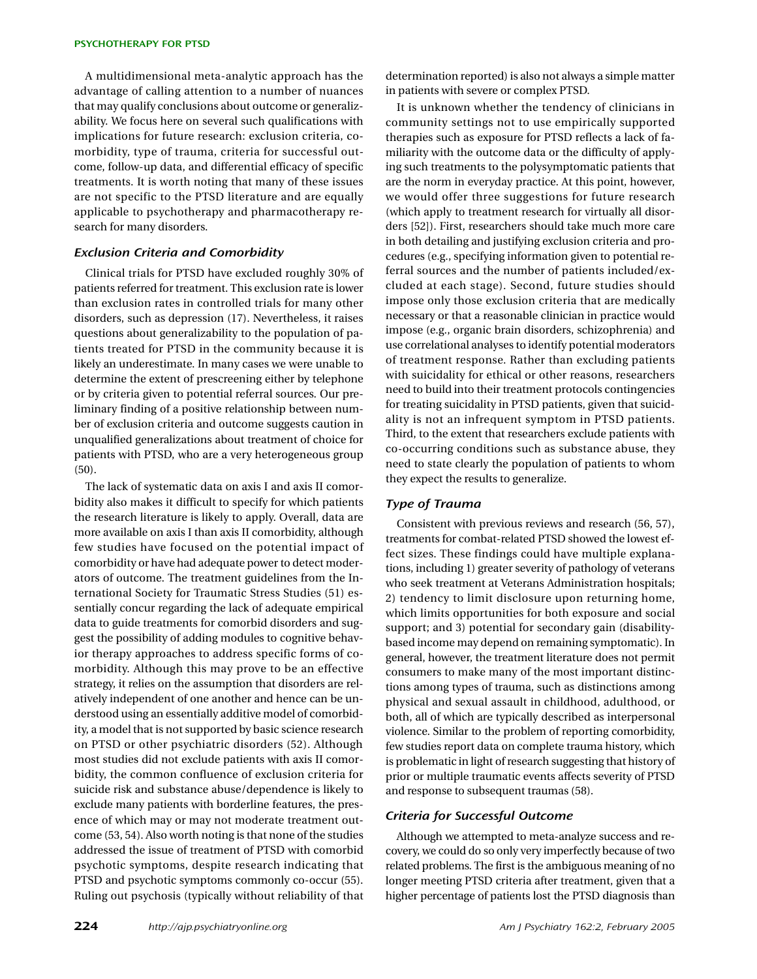A multidimensional meta-analytic approach has the advantage of calling attention to a number of nuances that may qualify conclusions about outcome or generalizability. We focus here on several such qualifications with implications for future research: exclusion criteria, comorbidity, type of trauma, criteria for successful outcome, follow-up data, and differential efficacy of specific treatments. It is worth noting that many of these issues are not specific to the PTSD literature and are equally applicable to psychotherapy and pharmacotherapy research for many disorders.

## *Exclusion Criteria and Comorbidity*

Clinical trials for PTSD have excluded roughly 30% of patients referred for treatment. This exclusion rate is lower than exclusion rates in controlled trials for many other disorders, such as depression (17). Nevertheless, it raises questions about generalizability to the population of patients treated for PTSD in the community because it is likely an underestimate. In many cases we were unable to determine the extent of prescreening either by telephone or by criteria given to potential referral sources. Our preliminary finding of a positive relationship between number of exclusion criteria and outcome suggests caution in unqualified generalizations about treatment of choice for patients with PTSD, who are a very heterogeneous group (50).

The lack of systematic data on axis I and axis II comorbidity also makes it difficult to specify for which patients the research literature is likely to apply. Overall, data are more available on axis I than axis II comorbidity, although few studies have focused on the potential impact of comorbidity or have had adequate power to detect moderators of outcome. The treatment guidelines from the International Society for Traumatic Stress Studies (51) essentially concur regarding the lack of adequate empirical data to guide treatments for comorbid disorders and suggest the possibility of adding modules to cognitive behavior therapy approaches to address specific forms of comorbidity. Although this may prove to be an effective strategy, it relies on the assumption that disorders are relatively independent of one another and hence can be understood using an essentially additive model of comorbidity, a model that is not supported by basic science research on PTSD or other psychiatric disorders (52). Although most studies did not exclude patients with axis II comorbidity, the common confluence of exclusion criteria for suicide risk and substance abuse/dependence is likely to exclude many patients with borderline features, the presence of which may or may not moderate treatment outcome (53, 54). Also worth noting is that none of the studies addressed the issue of treatment of PTSD with comorbid psychotic symptoms, despite research indicating that PTSD and psychotic symptoms commonly co-occur (55). Ruling out psychosis (typically without reliability of that determination reported) is also not always a simple matter in patients with severe or complex PTSD.

It is unknown whether the tendency of clinicians in community settings not to use empirically supported therapies such as exposure for PTSD reflects a lack of familiarity with the outcome data or the difficulty of applying such treatments to the polysymptomatic patients that are the norm in everyday practice. At this point, however, we would offer three suggestions for future research (which apply to treatment research for virtually all disorders [52]). First, researchers should take much more care in both detailing and justifying exclusion criteria and procedures (e.g., specifying information given to potential referral sources and the number of patients included/excluded at each stage). Second, future studies should impose only those exclusion criteria that are medically necessary or that a reasonable clinician in practice would impose (e.g., organic brain disorders, schizophrenia) and use correlational analyses to identify potential moderators of treatment response. Rather than excluding patients with suicidality for ethical or other reasons, researchers need to build into their treatment protocols contingencies for treating suicidality in PTSD patients, given that suicidality is not an infrequent symptom in PTSD patients. Third, to the extent that researchers exclude patients with co-occurring conditions such as substance abuse, they need to state clearly the population of patients to whom they expect the results to generalize.

# *Type of Trauma*

Consistent with previous reviews and research (56, 57), treatments for combat-related PTSD showed the lowest effect sizes. These findings could have multiple explanations, including 1) greater severity of pathology of veterans who seek treatment at Veterans Administration hospitals; 2) tendency to limit disclosure upon returning home, which limits opportunities for both exposure and social support; and 3) potential for secondary gain (disabilitybased income may depend on remaining symptomatic). In general, however, the treatment literature does not permit consumers to make many of the most important distinctions among types of trauma, such as distinctions among physical and sexual assault in childhood, adulthood, or both, all of which are typically described as interpersonal violence. Similar to the problem of reporting comorbidity, few studies report data on complete trauma history, which is problematic in light of research suggesting that history of prior or multiple traumatic events affects severity of PTSD and response to subsequent traumas (58).

## *Criteria for Successful Outcome*

Although we attempted to meta-analyze success and recovery, we could do so only very imperfectly because of two related problems. The first is the ambiguous meaning of no longer meeting PTSD criteria after treatment, given that a higher percentage of patients lost the PTSD diagnosis than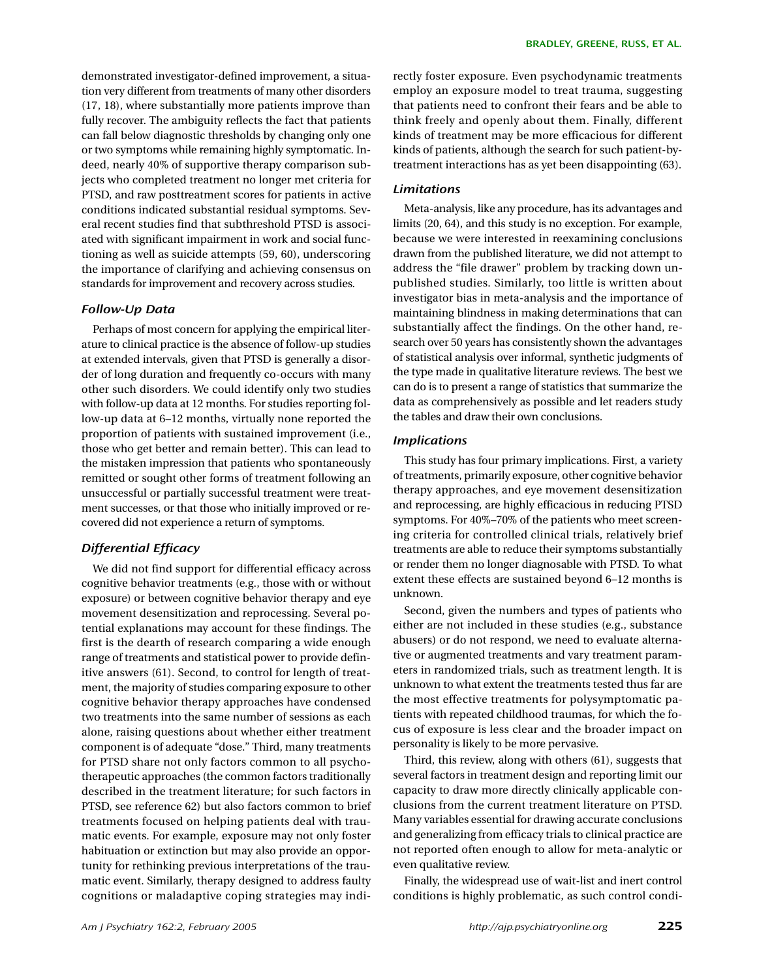demonstrated investigator-defined improvement, a situation very different from treatments of many other disorders (17, 18), where substantially more patients improve than fully recover. The ambiguity reflects the fact that patients can fall below diagnostic thresholds by changing only one or two symptoms while remaining highly symptomatic. Indeed, nearly 40% of supportive therapy comparison subjects who completed treatment no longer met criteria for PTSD, and raw posttreatment scores for patients in active conditions indicated substantial residual symptoms. Several recent studies find that subthreshold PTSD is associated with significant impairment in work and social functioning as well as suicide attempts (59, 60), underscoring the importance of clarifying and achieving consensus on standards for improvement and recovery across studies.

## *Follow-Up Data*

Perhaps of most concern for applying the empirical literature to clinical practice is the absence of follow-up studies at extended intervals, given that PTSD is generally a disorder of long duration and frequently co-occurs with many other such disorders. We could identify only two studies with follow-up data at 12 months. For studies reporting follow-up data at 6–12 months, virtually none reported the proportion of patients with sustained improvement (i.e., those who get better and remain better). This can lead to the mistaken impression that patients who spontaneously remitted or sought other forms of treatment following an unsuccessful or partially successful treatment were treatment successes, or that those who initially improved or recovered did not experience a return of symptoms.

# *Differential Efficacy*

We did not find support for differential efficacy across cognitive behavior treatments (e.g., those with or without exposure) or between cognitive behavior therapy and eye movement desensitization and reprocessing. Several potential explanations may account for these findings. The first is the dearth of research comparing a wide enough range of treatments and statistical power to provide definitive answers (61). Second, to control for length of treatment, the majority of studies comparing exposure to other cognitive behavior therapy approaches have condensed two treatments into the same number of sessions as each alone, raising questions about whether either treatment component is of adequate "dose." Third, many treatments for PTSD share not only factors common to all psychotherapeutic approaches (the common factors traditionally described in the treatment literature; for such factors in PTSD, see reference 62) but also factors common to brief treatments focused on helping patients deal with traumatic events. For example, exposure may not only foster habituation or extinction but may also provide an opportunity for rethinking previous interpretations of the traumatic event. Similarly, therapy designed to address faulty cognitions or maladaptive coping strategies may indirectly foster exposure. Even psychodynamic treatments employ an exposure model to treat trauma, suggesting that patients need to confront their fears and be able to think freely and openly about them. Finally, different kinds of treatment may be more efficacious for different kinds of patients, although the search for such patient-bytreatment interactions has as yet been disappointing (63).

## *Limitations*

Meta-analysis, like any procedure, has its advantages and limits (20, 64), and this study is no exception. For example, because we were interested in reexamining conclusions drawn from the published literature, we did not attempt to address the "file drawer" problem by tracking down unpublished studies. Similarly, too little is written about investigator bias in meta-analysis and the importance of maintaining blindness in making determinations that can substantially affect the findings. On the other hand, research over 50 years has consistently shown the advantages of statistical analysis over informal, synthetic judgments of the type made in qualitative literature reviews. The best we can do is to present a range of statistics that summarize the data as comprehensively as possible and let readers study the tables and draw their own conclusions.

#### *Implications*

This study has four primary implications. First, a variety of treatments, primarily exposure, other cognitive behavior therapy approaches, and eye movement desensitization and reprocessing, are highly efficacious in reducing PTSD symptoms. For 40%–70% of the patients who meet screening criteria for controlled clinical trials, relatively brief treatments are able to reduce their symptoms substantially or render them no longer diagnosable with PTSD. To what extent these effects are sustained beyond 6–12 months is unknown.

Second, given the numbers and types of patients who either are not included in these studies (e.g., substance abusers) or do not respond, we need to evaluate alternative or augmented treatments and vary treatment parameters in randomized trials, such as treatment length. It is unknown to what extent the treatments tested thus far are the most effective treatments for polysymptomatic patients with repeated childhood traumas, for which the focus of exposure is less clear and the broader impact on personality is likely to be more pervasive.

Third, this review, along with others (61), suggests that several factors in treatment design and reporting limit our capacity to draw more directly clinically applicable conclusions from the current treatment literature on PTSD. Many variables essential for drawing accurate conclusions and generalizing from efficacy trials to clinical practice are not reported often enough to allow for meta-analytic or even qualitative review.

Finally, the widespread use of wait-list and inert control conditions is highly problematic, as such control condi-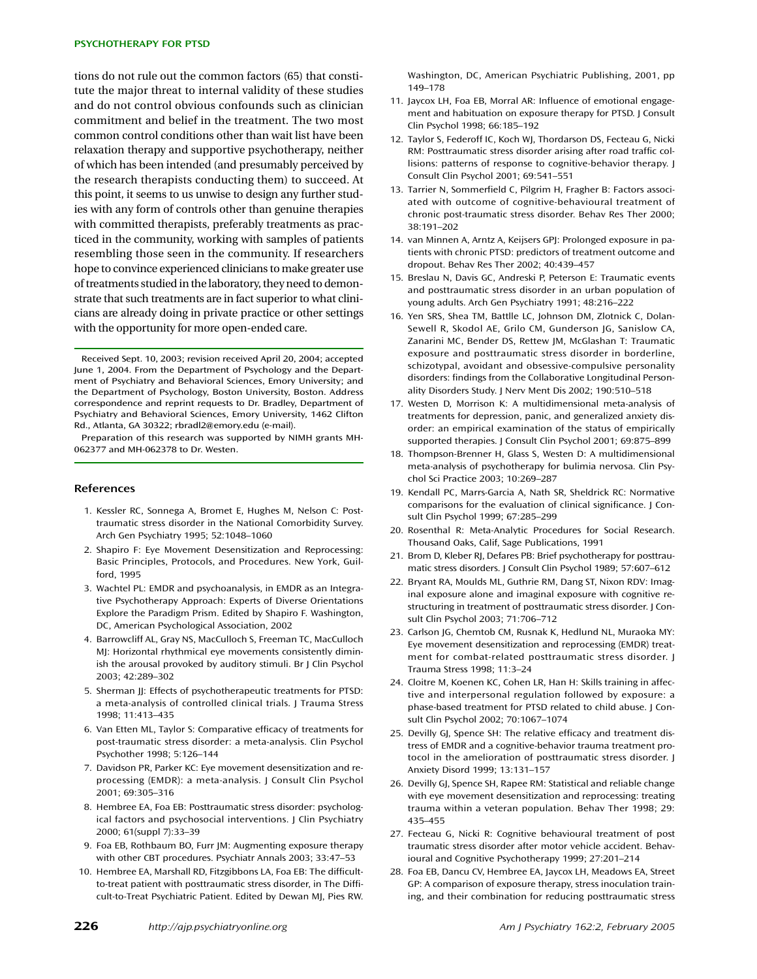tions do not rule out the common factors (65) that constitute the major threat to internal validity of these studies and do not control obvious confounds such as clinician commitment and belief in the treatment. The two most common control conditions other than wait list have been relaxation therapy and supportive psychotherapy, neither of which has been intended (and presumably perceived by the research therapists conducting them) to succeed. At this point, it seems to us unwise to design any further studies with any form of controls other than genuine therapies with committed therapists, preferably treatments as practiced in the community, working with samples of patients resembling those seen in the community. If researchers hope to convince experienced clinicians to make greater use of treatments studied in the laboratory, they need to demonstrate that such treatments are in fact superior to what clinicians are already doing in private practice or other settings with the opportunity for more open-ended care.

Received Sept. 10, 2003; revision received April 20, 2004; accepted June 1, 2004. From the Department of Psychology and the Department of Psychiatry and Behavioral Sciences, Emory University; and the Department of Psychology, Boston University, Boston. Address correspondence and reprint requests to Dr. Bradley, Department of Psychiatry and Behavioral Sciences, Emory University, 1462 Clifton Rd., Atlanta, GA 30322; rbradl2@emory.edu (e-mail).

Preparation of this research was supported by NIMH grants MH-062377 and MH-062378 to Dr. Westen.

#### **References**

- 1. Kessler RC, Sonnega A, Bromet E, Hughes M, Nelson C: Posttraumatic stress disorder in the National Comorbidity Survey. Arch Gen Psychiatry 1995; 52:1048–1060
- 2. Shapiro F: Eye Movement Desensitization and Reprocessing: Basic Principles, Protocols, and Procedures. New York, Guilford, 1995
- 3. Wachtel PL: EMDR and psychoanalysis, in EMDR as an Integrative Psychotherapy Approach: Experts of Diverse Orientations Explore the Paradigm Prism. Edited by Shapiro F. Washington, DC, American Psychological Association, 2002
- 4. Barrowcliff AL, Gray NS, MacCulloch S, Freeman TC, MacCulloch MJ: Horizontal rhythmical eye movements consistently diminish the arousal provoked by auditory stimuli. Br J Clin Psychol 2003; 42:289–302
- 5. Sherman JJ: Effects of psychotherapeutic treatments for PTSD: a meta-analysis of controlled clinical trials. J Trauma Stress 1998; 11:413–435
- 6. Van Etten ML, Taylor S: Comparative efficacy of treatments for post-traumatic stress disorder: a meta-analysis. Clin Psychol Psychother 1998; 5:126–144
- 7. Davidson PR, Parker KC: Eye movement desensitization and reprocessing (EMDR): a meta-analysis. J Consult Clin Psychol 2001; 69:305–316
- 8. Hembree EA, Foa EB: Posttraumatic stress disorder: psychological factors and psychosocial interventions. J Clin Psychiatry 2000; 61(suppl 7):33–39
- 9. Foa EB, Rothbaum BO, Furr JM: Augmenting exposure therapy with other CBT procedures. Psychiatr Annals 2003; 33:47–53
- 10. Hembree EA, Marshall RD, Fitzgibbons LA, Foa EB: The difficultto-treat patient with posttraumatic stress disorder, in The Difficult-to-Treat Psychiatric Patient. Edited by Dewan MJ, Pies RW.

Washington, DC, American Psychiatric Publishing, 2001, pp 149–178

- 11. Jaycox LH, Foa EB, Morral AR: Influence of emotional engagement and habituation on exposure therapy for PTSD. J Consult Clin Psychol 1998; 66:185–192
- 12. Taylor S, Federoff IC, Koch WJ, Thordarson DS, Fecteau G, Nicki RM: Posttraumatic stress disorder arising after road traffic collisions: patterns of response to cognitive-behavior therapy. J Consult Clin Psychol 2001; 69:541–551
- 13. Tarrier N, Sommerfield C, Pilgrim H, Fragher B: Factors associated with outcome of cognitive-behavioural treatment of chronic post-traumatic stress disorder. Behav Res Ther 2000; 38:191–202
- 14. van Minnen A, Arntz A, Keijsers GPJ: Prolonged exposure in patients with chronic PTSD: predictors of treatment outcome and dropout. Behav Res Ther 2002; 40:439–457
- 15. Breslau N, Davis GC, Andreski P, Peterson E: Traumatic events and posttraumatic stress disorder in an urban population of young adults. Arch Gen Psychiatry 1991; 48:216–222
- 16. Yen SRS, Shea TM, Battlle LC, Johnson DM, Zlotnick C, Dolan-Sewell R, Skodol AE, Grilo CM, Gunderson JG, Sanislow CA, Zanarini MC, Bender DS, Rettew JM, McGlashan T: Traumatic exposure and posttraumatic stress disorder in borderline, schizotypal, avoidant and obsessive-compulsive personality disorders: findings from the Collaborative Longitudinal Personality Disorders Study. J Nerv Ment Dis 2002; 190:510–518
- 17. Westen D, Morrison K: A multidimensional meta-analysis of treatments for depression, panic, and generalized anxiety disorder: an empirical examination of the status of empirically supported therapies. J Consult Clin Psychol 2001; 69:875–899
- 18. Thompson-Brenner H, Glass S, Westen D: A multidimensional meta-analysis of psychotherapy for bulimia nervosa. Clin Psychol Sci Practice 2003; 10:269–287
- 19. Kendall PC, Marrs-Garcia A, Nath SR, Sheldrick RC: Normative comparisons for the evaluation of clinical significance. J Consult Clin Psychol 1999; 67:285–299
- 20. Rosenthal R: Meta-Analytic Procedures for Social Research. Thousand Oaks, Calif, Sage Publications, 1991
- 21. Brom D, Kleber RJ, Defares PB: Brief psychotherapy for posttraumatic stress disorders. J Consult Clin Psychol 1989; 57:607–612
- 22. Bryant RA, Moulds ML, Guthrie RM, Dang ST, Nixon RDV: Imaginal exposure alone and imaginal exposure with cognitive restructuring in treatment of posttraumatic stress disorder. J Consult Clin Psychol 2003; 71:706–712
- 23. Carlson JG, Chemtob CM, Rusnak K, Hedlund NL, Muraoka MY: Eye movement desensitization and reprocessing (EMDR) treatment for combat-related posttraumatic stress disorder. J Trauma Stress 1998; 11:3–24
- 24. Cloitre M, Koenen KC, Cohen LR, Han H: Skills training in affective and interpersonal regulation followed by exposure: a phase-based treatment for PTSD related to child abuse. J Consult Clin Psychol 2002; 70:1067–1074
- 25. Devilly GJ, Spence SH: The relative efficacy and treatment distress of EMDR and a cognitive-behavior trauma treatment protocol in the amelioration of posttraumatic stress disorder. J Anxiety Disord 1999; 13:131–157
- 26. Devilly GJ, Spence SH, Rapee RM: Statistical and reliable change with eye movement desensitization and reprocessing: treating trauma within a veteran population. Behav Ther 1998; 29: 435–455
- 27. Fecteau G, Nicki R: Cognitive behavioural treatment of post traumatic stress disorder after motor vehicle accident. Behavioural and Cognitive Psychotherapy 1999; 27:201–214
- 28. Foa EB, Dancu CV, Hembree EA, Jaycox LH, Meadows EA, Street GP: A comparison of exposure therapy, stress inoculation training, and their combination for reducing posttraumatic stress